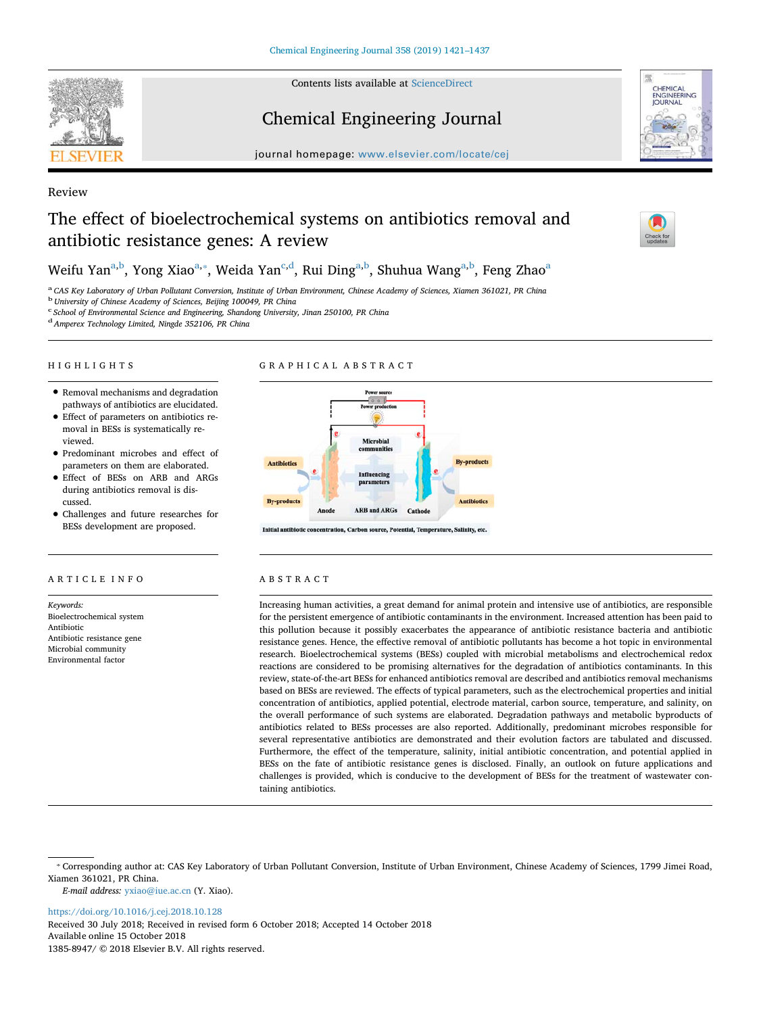Contents lists available at [ScienceDirect](http://www.sciencedirect.com/science/journal/13858947)

Chemical Engineering Journal

journal homepage: [www.elsevier.com/locate/cej](https://www.elsevier.com/locate/cej)

# Review

# The effect of bioelectrochemical systems on antibiotics removal and antibiotic resistance genes: A review

Weifu Yan<sup>[a,](#page-0-0)[b](#page-0-1)</sup>, Yong Xiao<sup>a,</sup>\*, Wei[d](#page-0-4)[a](#page-0-0) Yan<sup>c,d</sup>, Rui Ding<sup>a[,b](#page-0-1)</sup>, Shuhua Wang<sup>a,b</sup>, Feng Zhao<sup>a</sup>

<span id="page-0-0"></span><sup>a</sup> *CAS Key Laboratory of Urban Pollutant Conversion, Institute of Urban Environment, Chinese Academy of Sciences, Xiamen 361021, PR China*

<span id="page-0-1"></span><sup>b</sup> *University of Chinese Academy of Sciences, Beijing 100049, PR China*

<span id="page-0-3"></span><sup>c</sup> *School of Environmental Science and Engineering, Shandong University, Jinan 250100, PR China*

<span id="page-0-4"></span><sup>d</sup>*Amperex Technology Limited, Ningde 352106, PR China*

# HIGHLIGHTS

# GRAPHICAL ABSTRACT

- Removal mechanisms and degradation pathways of antibiotics are elucidated.
- Effect of parameters on antibiotics removal in BESs is systematically reviewed.
- Predominant microbes and effect of parameters on them are elaborated.
- Effect of BESs on ARB and ARGs during antibiotics removal is discussed.
- Challenges and future researches for BESs development are proposed.

# ARTICLE INFO

*Keywords:* Bioelectrochemical system Antibiotic Antibiotic resistance gene Microbial community Environmental factor



on, Carbon source, Potential, Temperature, Salinity, etc.

# ABSTRACT

Increasing human activities, a great demand for animal protein and intensive use of antibiotics, are responsible for the persistent emergence of antibiotic contaminants in the environment. Increased attention has been paid to this pollution because it possibly exacerbates the appearance of antibiotic resistance bacteria and antibiotic resistance genes. Hence, the effective removal of antibiotic pollutants has become a hot topic in environmental research. Bioelectrochemical systems (BESs) coupled with microbial metabolisms and electrochemical redox reactions are considered to be promising alternatives for the degradation of antibiotics contaminants. In this review, state-of-the-art BESs for enhanced antibiotics removal are described and antibiotics removal mechanisms based on BESs are reviewed. The effects of typical parameters, such as the electrochemical properties and initial concentration of antibiotics, applied potential, electrode material, carbon source, temperature, and salinity, on the overall performance of such systems are elaborated. Degradation pathways and metabolic byproducts of antibiotics related to BESs processes are also reported. Additionally, predominant microbes responsible for several representative antibiotics are demonstrated and their evolution factors are tabulated and discussed. Furthermore, the effect of the temperature, salinity, initial antibiotic concentration, and potential applied in BESs on the fate of antibiotic resistance genes is disclosed. Finally, an outlook on future applications and challenges is provided, which is conducive to the development of BESs for the treatment of wastewater containing antibiotics.

*E-mail address:* [yxiao@iue.ac.cn](mailto:yxiao@iue.ac.cn) (Y. Xiao).

<https://doi.org/10.1016/j.cej.2018.10.128>

Received 30 July 2018; Received in revised form 6 October 2018; Accepted 14 October 2018 Available online 15 October 2018 1385-8947/ © 2018 Elsevier B.V. All rights reserved.







<span id="page-0-2"></span><sup>⁎</sup> Corresponding author at: CAS Key Laboratory of Urban Pollutant Conversion, Institute of Urban Environment, Chinese Academy of Sciences, 1799 Jimei Road, Xiamen 361021, PR China.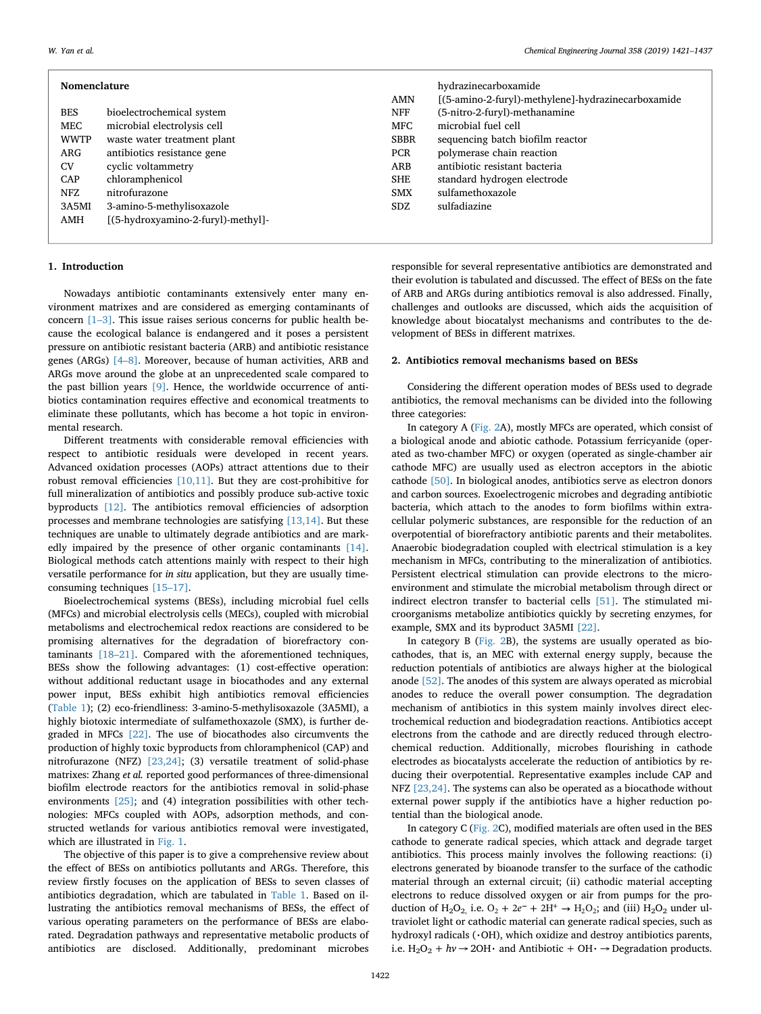| Nomenclature |                                    |             | hydrazinecarboxamide                               |
|--------------|------------------------------------|-------------|----------------------------------------------------|
|              |                                    | AMN         | [(5-amino-2-furyl)-methylene]-hydrazinecarboxamide |
| <b>BES</b>   | bioelectrochemical system          | NFF         | (5-nitro-2-furyl)-methanamine                      |
| MEC          | microbial electrolysis cell        | MFC.        | microbial fuel cell                                |
| <b>WWTP</b>  | waste water treatment plant        | <b>SBBR</b> | sequencing batch biofilm reactor                   |
| ARG          | antibiotics resistance gene        | <b>PCR</b>  | polymerase chain reaction                          |
| <b>CV</b>    | cyclic voltammetry                 | ARB         | antibiotic resistant bacteria                      |
| CAP          | chloramphenicol                    | <b>SHE</b>  | standard hydrogen electrode                        |
| NFZ          | nitrofurazone                      | SMX         | sulfamethoxazole                                   |
| 3A5MI        | 3-amino-5-methylisoxazole          | SDZ.        | sulfadiazine                                       |
| AMH          | [(5-hydroxyamino-2-furyl)-methyl]- |             |                                                    |
|              |                                    |             |                                                    |

# **1. Introduction**

Nowadays antibiotic contaminants extensively enter many environment matrixes and are considered as emerging contaminants of concern [\[1–3\]](#page-14-0). This issue raises serious concerns for public health because the ecological balance is endangered and it poses a persistent pressure on antibiotic resistant bacteria (ARB) and antibiotic resistance genes (ARGs) [\[4–8\]](#page-14-1). Moreover, because of human activities, ARB and ARGs move around the globe at an unprecedented scale compared to the past billion years [\[9\]](#page-14-2). Hence, the worldwide occurrence of antibiotics contamination requires effective and economical treatments to eliminate these pollutants, which has become a hot topic in environmental research.

Different treatments with considerable removal efficiencies with respect to antibiotic residuals were developed in recent years. Advanced oxidation processes (AOPs) attract attentions due to their robust removal efficiencies [\[10,11\]](#page-14-3). But they are cost-prohibitive for full mineralization of antibiotics and possibly produce sub-active toxic byproducts [\[12\].](#page-14-4) The antibiotics removal efficiencies of adsorption processes and membrane technologies are satisfying [\[13,14\]](#page-14-5). But these techniques are unable to ultimately degrade antibiotics and are markedly impaired by the presence of other organic contaminants [\[14\]](#page-14-6). Biological methods catch attentions mainly with respect to their high versatile performance for *in situ* application, but they are usually timeconsuming techniques [\[15–17\].](#page-14-7)

Bioelectrochemical systems (BESs), including microbial fuel cells (MFCs) and microbial electrolysis cells (MECs), coupled with microbial metabolisms and electrochemical redox reactions are considered to be promising alternatives for the degradation of biorefractory contaminants [\[18–21\].](#page-15-0) Compared with the aforementioned techniques, BESs show the following advantages: (1) cost-effective operation: without additional reductant usage in biocathodes and any external power input, BESs exhibit high antibiotics removal efficiencies ([Table 1\)](#page-2-0); (2) eco-friendliness: 3-amino-5-methylisoxazole (3A5MI), a highly biotoxic intermediate of sulfamethoxazole (SMX), is further degraded in MFCs [\[22\]](#page-15-1). The use of biocathodes also circumvents the production of highly toxic byproducts from chloramphenicol (CAP) and nitrofurazone (NFZ) [\[23,24\]](#page-15-2); (3) versatile treatment of solid-phase matrixes: Zhang *et al.* reported good performances of three-dimensional biofilm electrode reactors for the antibiotics removal in solid-phase environments [\[25\]](#page-15-3); and (4) integration possibilities with other technologies: MFCs coupled with AOPs, adsorption methods, and constructed wetlands for various antibiotics removal were investigated, which are illustrated in [Fig. 1.](#page-3-0)

The objective of this paper is to give a comprehensive review about the effect of BESs on antibiotics pollutants and ARGs. Therefore, this review firstly focuses on the application of BESs to seven classes of antibiotics degradation, which are tabulated in [Table 1.](#page-2-0) Based on illustrating the antibiotics removal mechanisms of BESs, the effect of various operating parameters on the performance of BESs are elaborated. Degradation pathways and representative metabolic products of antibiotics are disclosed. Additionally, predominant microbes

responsible for several representative antibiotics are demonstrated and their evolution is tabulated and discussed. The effect of BESs on the fate of ARB and ARGs during antibiotics removal is also addressed. Finally, challenges and outlooks are discussed, which aids the acquisition of knowledge about biocatalyst mechanisms and contributes to the de-

#### **2. Antibiotics removal mechanisms based on BESs**

velopment of BESs in different matrixes.

Considering the different operation modes of BESs used to degrade antibiotics, the removal mechanisms can be divided into the following three categories:

In category A ([Fig. 2](#page-3-1)A), mostly MFCs are operated, which consist of a biological anode and abiotic cathode. Potassium ferricyanide (operated as two-chamber MFC) or oxygen (operated as single-chamber air cathode MFC) are usually used as electron acceptors in the abiotic cathode [\[50\].](#page-15-4) In biological anodes, antibiotics serve as electron donors and carbon sources. Exoelectrogenic microbes and degrading antibiotic bacteria, which attach to the anodes to form biofilms within extracellular polymeric substances, are responsible for the reduction of an overpotential of biorefractory antibiotic parents and their metabolites. Anaerobic biodegradation coupled with electrical stimulation is a key mechanism in MFCs, contributing to the mineralization of antibiotics. Persistent electrical stimulation can provide electrons to the microenvironment and stimulate the microbial metabolism through direct or indirect electron transfer to bacterial cells [\[51\].](#page-15-5) The stimulated microorganisms metabolize antibiotics quickly by secreting enzymes, for example, SMX and its byproduct 3A5MI [\[22\].](#page-15-1)

In category B ([Fig. 2](#page-3-1)B), the systems are usually operated as biocathodes, that is, an MEC with external energy supply, because the reduction potentials of antibiotics are always higher at the biological anode [\[52\].](#page-15-6) The anodes of this system are always operated as microbial anodes to reduce the overall power consumption. The degradation mechanism of antibiotics in this system mainly involves direct electrochemical reduction and biodegradation reactions. Antibiotics accept electrons from the cathode and are directly reduced through electrochemical reduction. Additionally, microbes flourishing in cathode electrodes as biocatalysts accelerate the reduction of antibiotics by reducing their overpotential. Representative examples include CAP and NFZ [\[23,24\]](#page-15-2). The systems can also be operated as a biocathode without external power supply if the antibiotics have a higher reduction potential than the biological anode.

In category C ([Fig. 2](#page-3-1)C), modified materials are often used in the BES cathode to generate radical species, which attack and degrade target antibiotics. This process mainly involves the following reactions: (i) electrons generated by bioanode transfer to the surface of the cathodic material through an external circuit; (ii) cathodic material accepting electrons to reduce dissolved oxygen or air from pumps for the production of H<sub>2</sub>O<sub>2</sub>, i.e.  $O_2 + 2e^- + 2H^+ \rightarrow H_2O_2$ ; and (iii) H<sub>2</sub>O<sub>2</sub> under ultraviolet light or cathodic material can generate radical species, such as hydroxyl radicals  $(\cdot$ OH), which oxidize and destroy antibiotics parents, i.e.  $H_2O_2 + hv \rightarrow 2OH \cdot$  and Antibiotic + OH $\cdot \rightarrow$  Degradation products.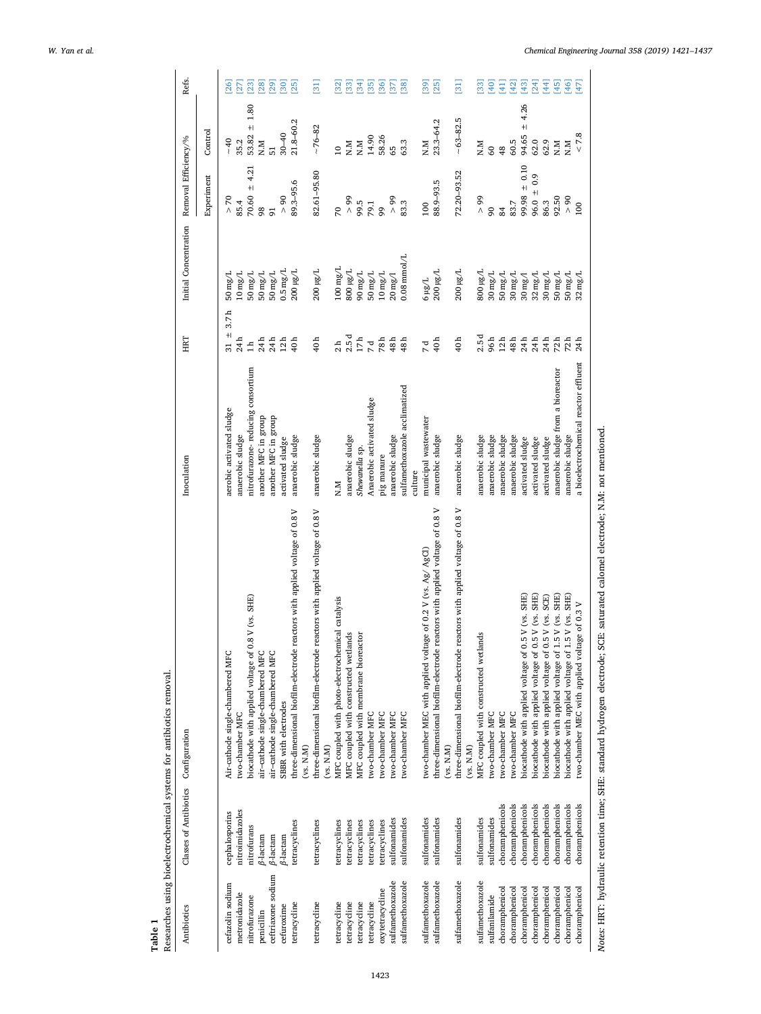<span id="page-2-0"></span>

| Researches using bioelectrochemical systems for antibiotics removal.<br>Classes of Antibiotics Configuration | Inoculation    |                                       | ERIT                       | Initial Concentration        | Removal Efficiency/%        |                            | Refs.             |
|--------------------------------------------------------------------------------------------------------------|----------------|---------------------------------------|----------------------------|------------------------------|-----------------------------|----------------------------|-------------------|
|                                                                                                              |                |                                       |                            |                              | Experiment                  | Control                    |                   |
| Air-cathode single-chambered MFC                                                                             |                | aerobic activated sludge              | 3.7 <sub>h</sub><br>$31 +$ | 50mg/L                       | 50<br>Λ                     | $-40$                      | $\overline{26}$   |
| two-chamber MFC                                                                                              |                | anaerobic sludge                      | 24h                        | $10\,\mathrm{mg/L}$          | 85.4                        | 35.2                       | $\overline{27}$   |
| biocathode with applied voltage of 0.8 V (vs. SHE)                                                           |                | nitrofurazone-reducing consortium     | $\overline{11}$            | $50\,\mathrm{mg/L}$          | 4.21<br>$+1$<br>70.60<br>98 | 1.80<br>$\ddot{}$<br>53.82 | $[23]$            |
| air-cathode single-chambered MFC                                                                             |                | another MFC in group                  | 24h                        | $50\,\mathrm{mg/L}$          |                             | N.M                        | [80]              |
| air-cathode single-chambered MFC                                                                             |                | another MFC in group                  | 24h                        | $50\,\mathrm{mg/L}$          | $\overline{91}$             |                            | $[29]$            |
| SBBR with electrodes                                                                                         |                | activated sludge                      | $12h$<br>40h               | $0.5 \,\mathrm{mg/L}$        | $\frac{8}{1}$               | $30 - 40$                  | [30]              |
| three-dimensional biofilm-electrode reactors with applied voltage of 0.8 V<br>(vs. N.M)                      |                | anaerobic sludge                      |                            | $200\,\mathrm{\upmu g/L}$    | 89.3-95.6                   | 21.8-60.2                  | [25]              |
| three-dimensional biofilm-electrode reactors with applied voltage of 0.8 V<br>(vs. N.M)                      |                | anaerobic sludge                      | 40h                        | 200 µg/L                     | 82.61-95.80                 | $~16 - 82$                 | $\Xi$             |
| MFC coupled with photo-electrochemical catalysis                                                             | N.M            |                                       | 2h                         | $100\,\mathrm{mg/L}$         | $\overline{70}$             | $\frac{1}{2}$              | $\overline{32}$   |
| MFC coupled with constructed wetlands                                                                        |                | anaerobic sludge                      | 2.5d                       | 800 µg/L                     | 66 <                        | $N_\cdot M$                | $\boxed{33}$      |
| MFC coupled with membrane bioreactor                                                                         | Shewanella sp. |                                       | $17\,\mathrm{h}$           | $90\,\mathrm{mg/L}$          | 99.5                        | N.M                        | $\overline{34}$   |
| two-chamber MFC                                                                                              |                | Anaerobic activated sludge            | $_{78h}^7$                 | $50\,\mathrm{mg/L}$          | 79.1                        | 14.90                      | E 8               |
| two-chamber MFC                                                                                              | pig manure     |                                       |                            | $10\,\mathrm{mg/L}$          | 99                          | 58.26                      |                   |
| two-chamber MFC                                                                                              |                | anaerobic sludge                      | 48 h                       | $20\,\mathrm{mg}/\mathrm{l}$ | $\rm 99$                    | 65                         | [37]              |
| two-chamber MFC                                                                                              | culture        | sulfamethoxazole acclimatized         | 48h                        | $0.08$ mmol/L                | 83.3                        | 63.3                       | 38                |
| two-chamber MEC with applied voltage of 0.2 V (vs. Ag/ AgCl)                                                 |                | municipal wastewater                  | 7d                         | $6 \mu\text{g/L}$            | 100                         | N.M                        | [39]              |
| three-dimensional biofilm-electrode reactors with applied voltage of 0.8 V<br>(vs. N.M)                      |                | anaerobic sludge                      | 40h                        | $200\,\mathrm{\upmu g/L}$    | 88.9-93.5                   | $23.3 - 64.2$              | $[25]$            |
| three-dimensional biofilm-electrode reactors with applied voltage of 0.8 V<br>(vs. N.M)                      |                | anaerobic sludge                      | 40h                        | $200\,\mathrm{\mu g/L}$      | 72.20-93.52                 | $-63 - 82.5$               | $\Xi$             |
| MFC coupled with constructed wetlands                                                                        |                | anaerobic sludge                      | 2.5d                       | $1/3n$ 008                   | $66<$                       | N.M                        | $^{33}$           |
| two-chamber MFC                                                                                              |                | anaerobic sludge                      | 96 h                       | $30\,\mathrm{mg/L}$          | $^{90}$                     | 60                         | $[40]$            |
| two-chamber MFC                                                                                              |                | anaerobic sludge                      | $12\,\mathrm{h}$           | $50\,\mathrm{mg/L}$          | 84                          | 48                         | 률                 |
| two-chamber MFC                                                                                              |                | anaerobic sludge                      | 48 h                       | $30\,\mathrm{mg/L}$          | 83.7                        | 60.5                       | $[42]$            |
| biocathode with applied voltage of 0.5 V (vs. SHE)                                                           |                | activated sludge                      | $24~\mathrm{h}$            | $30\,\mathrm{mg}/\mathrm{l}$ | $99.98 \pm 0.10$            | 4.26<br>$+$<br>94.65       | $[43]$            |
| biocathode with applied voltage of 0.5 V (vs. SHE)                                                           |                | activated sludge                      | 24 h                       | $32\,\mathrm{mg/L}$          | $96.0 \pm 0.9$              | 62.0                       | [24]              |
| biocathode with applied voltage of 0.5 V (vs. SCE)                                                           |                | activated sludge                      | 24 h                       | $30 \,\mathrm{mg/L}$         | 86.3                        | 62.9                       | $[44]$            |
| biocathode with applied voltage of 1                                                                         | .5 V (vs. SHE) | anaerobic sludge from a bioreactor    | 72h                        | $50\,\mathrm{mg/L}$          | 92.50                       | N.M                        | [45]              |
| biocathode with applied voltage of 1.                                                                        | .5 V (vs. SHE) | anaerobic sludge                      | 72h                        | $50\,\mathrm{mg/L}$          | > 90                        | N.M                        | $[46]$            |
| two-chamber MEC with applied voltage of 0.3 V                                                                |                | a bioelectrochemical reactor effluent | 24 h                       | $32\,\mathrm{mg/L}$          | 100                         | $< 7.8$                    | $\overline{[47]}$ |

Notes: HRT: hydraulic retention time; SHE: standard hydrogen electrode; SCE: saturated calomel electrode; N.M: not mentioned. *Notes:* HRT: hydraulic retention time; SHE: standard hydrogen electrode; SCE: saturated calomel electrode; N.M: not mentioned.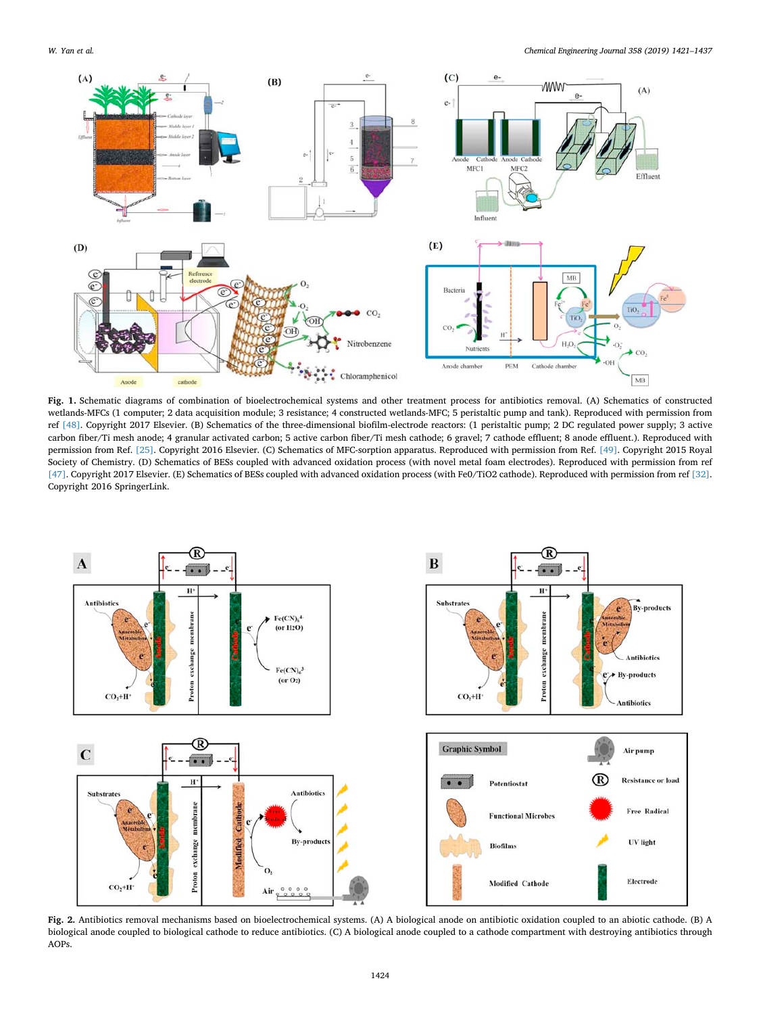<span id="page-3-0"></span>

**Fig. 1.** Schematic diagrams of combination of bioelectrochemical systems and other treatment process for antibiotics removal. (A) Schematics of constructed wetlands-MFCs (1 computer; 2 data acquisition module; 3 resistance; 4 constructed wetlands-MFC; 5 peristaltic pump and tank). Reproduced with permission from ref [\[48\].](#page-15-30) Copyright 2017 Elsevier. (B) Schematics of the three-dimensional biofilm-electrode reactors: (1 peristaltic pump; 2 DC regulated power supply; 3 active carbon fiber/Ti mesh anode; 4 granular activated carbon; 5 active carbon fiber/Ti mesh cathode; 6 gravel; 7 cathode effluent; 8 anode effluent.). Reproduced with permission from Ref. [\[25\]](#page-15-3). Copyright 2016 Elsevier. (C) Schematics of MFC-sorption apparatus. Reproduced with permission from Ref. [\[49\]](#page-15-31). Copyright 2015 Royal Society of Chemistry. (D) Schematics of BESs coupled with advanced oxidation process (with novel metal foam electrodes). Reproduced with permission from ref [\[47\].](#page-15-29) Copyright 2017 Elsevier. (E) Schematics of BESs coupled with advanced oxidation process (with Fe0/TiO2 cathode). Reproduced with permission from ref [\[32\].](#page-15-13) Copyright 2016 SpringerLink.

<span id="page-3-1"></span>

**Fig. 2.** Antibiotics removal mechanisms based on bioelectrochemical systems. (A) A biological anode on antibiotic oxidation coupled to an abiotic cathode. (B) A biological anode coupled to biological cathode to reduce antibiotics. (C) A biological anode coupled to a cathode compartment with destroying antibiotics through AOPs.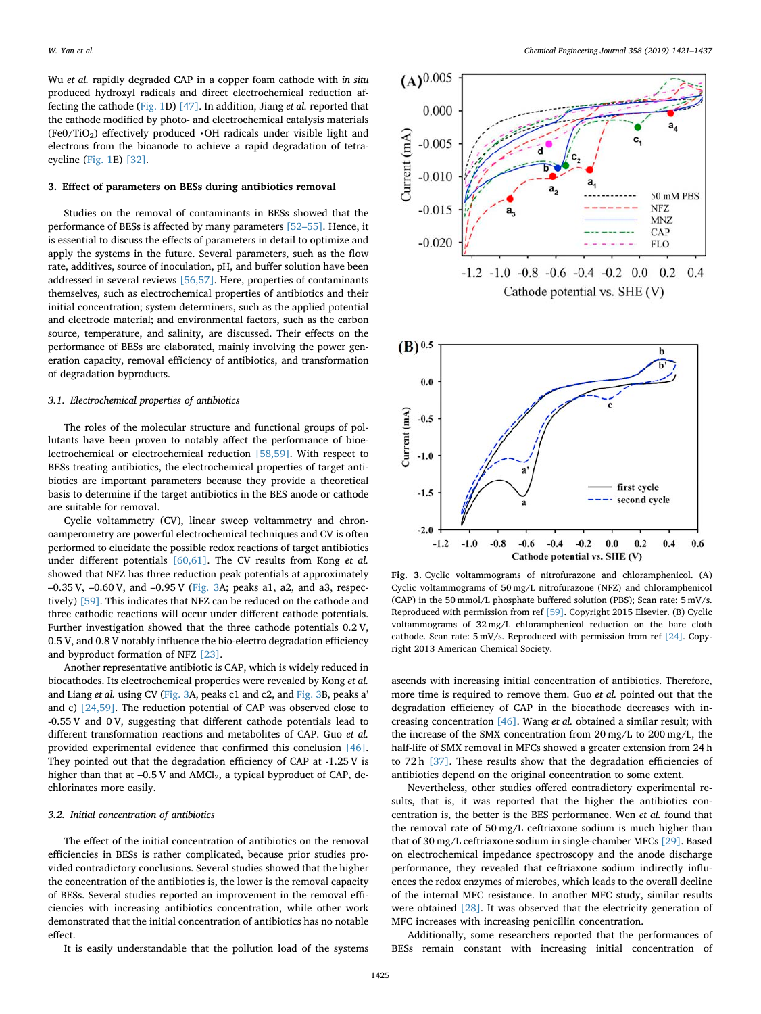Wu *et al.* rapidly degraded CAP in a copper foam cathode with *in situ* produced hydroxyl radicals and direct electrochemical reduction affecting the cathode ([Fig. 1](#page-3-0)D) [\[47\].](#page-15-29) In addition, Jiang *et al.* reported that the cathode modified by photo- and electrochemical catalysis materials (Fe0/TiO<sub>2</sub>) effectively produced  $\cdot$ OH radicals under visible light and electrons from the bioanode to achieve a rapid degradation of tetracycline [\(Fig. 1](#page-3-0)E) [\[32\]](#page-15-13).

## **3. Effect of parameters on BESs during antibiotics removal**

Studies on the removal of contaminants in BESs showed that the performance of BESs is affected by many parameters [\[52–55\].](#page-15-6) Hence, it is essential to discuss the effects of parameters in detail to optimize and apply the systems in the future. Several parameters, such as the flow rate, additives, source of inoculation, pH, and buffer solution have been addressed in several reviews [\[56,57\].](#page-15-32) Here, properties of contaminants themselves, such as electrochemical properties of antibiotics and their initial concentration; system determiners, such as the applied potential and electrode material; and environmental factors, such as the carbon source, temperature, and salinity, are discussed. Their effects on the performance of BESs are elaborated, mainly involving the power generation capacity, removal efficiency of antibiotics, and transformation of degradation byproducts.

# *3.1. Electrochemical properties of antibiotics*

The roles of the molecular structure and functional groups of pollutants have been proven to notably affect the performance of bioelectrochemical or electrochemical reduction [\[58,59\].](#page-15-33) With respect to BESs treating antibiotics, the electrochemical properties of target antibiotics are important parameters because they provide a theoretical basis to determine if the target antibiotics in the BES anode or cathode are suitable for removal.

Cyclic voltammetry (CV), linear sweep voltammetry and chronoamperometry are powerful electrochemical techniques and CV is often performed to elucidate the possible redox reactions of target antibiotics under different potentials [\[60,61\]](#page-15-34). The CV results from Kong *et al.* showed that NFZ has three reduction peak potentials at approximately –0.35 V, –0.60 V, and –0.95 V ([Fig. 3A](#page-4-0); peaks a1, a2, and a3, respectively) [\[59\]](#page-15-35). This indicates that NFZ can be reduced on the cathode and three cathodic reactions will occur under different cathode potentials. Further investigation showed that the three cathode potentials 0.2 V, 0.5 V, and 0.8 V notably influence the bio-electro degradation efficiency and byproduct formation of NFZ [\[23\]](#page-15-2).

Another representative antibiotic is CAP, which is widely reduced in biocathodes. Its electrochemical properties were revealed by Kong *et al.* and Liang *et al.* using CV [\(Fig. 3](#page-4-0)A, peaks c1 and c2, and [Fig. 3B](#page-4-0), peaks a' and c) [\[24,59\]](#page-15-25). The reduction potential of CAP was observed close to -0.55 V and 0 V, suggesting that different cathode potentials lead to different transformation reactions and metabolites of CAP. Guo *et al.* provided experimental evidence that confirmed this conclusion [\[46\]](#page-15-28). They pointed out that the degradation efficiency of CAP at -1.25 V is higher than that at  $-0.5$  V and  $AMCl<sub>2</sub>$ , a typical byproduct of CAP, dechlorinates more easily.

## *3.2. Initial concentration of antibiotics*

The effect of the initial concentration of antibiotics on the removal efficiencies in BESs is rather complicated, because prior studies provided contradictory conclusions. Several studies showed that the higher the concentration of the antibiotics is, the lower is the removal capacity of BESs. Several studies reported an improvement in the removal efficiencies with increasing antibiotics concentration, while other work demonstrated that the initial concentration of antibiotics has no notable effect.

It is easily understandable that the pollution load of the systems

<span id="page-4-0"></span>



**Fig. 3.** Cyclic voltammograms of nitrofurazone and chloramphenicol. (A) Cyclic voltammograms of 50 mg/L nitrofurazone (NFZ) and chloramphenicol (CAP) in the 50 mmol/L phosphate buffered solution (PBS); Scan rate: 5 mV/s. Reproduced with permission from ref [\[59\].](#page-15-35) Copyright 2015 Elsevier. (B) Cyclic voltammograms of 32 mg/L chloramphenicol reduction on the bare cloth cathode. Scan rate: 5 mV/s. Reproduced with permission from ref [\[24\].](#page-15-25) Copyright 2013 American Chemical Society.

ascends with increasing initial concentration of antibiotics. Therefore, more time is required to remove them. Guo *et al.* pointed out that the degradation efficiency of CAP in the biocathode decreases with increasing concentration [\[46\].](#page-15-28) Wang *et al.* obtained a similar result; with the increase of the SMX concentration from 20 mg/L to 200 mg/L, the half-life of SMX removal in MFCs showed a greater extension from 24 h to 72 h [\[37\].](#page-15-18) These results show that the degradation efficiencies of antibiotics depend on the original concentration to some extent.

Nevertheless, other studies offered contradictory experimental results, that is, it was reported that the higher the antibiotics concentration is, the better is the BES performance. Wen *et al.* found that the removal rate of 50 mg/L ceftriaxone sodium is much higher than that of 30 mg/L ceftriaxone sodium in single-chamber MFCs [\[29\]](#page-15-10). Based on electrochemical impedance spectroscopy and the anode discharge performance, they revealed that ceftriaxone sodium indirectly influences the redox enzymes of microbes, which leads to the overall decline of the internal MFC resistance. In another MFC study, similar results were obtained [\[28\]](#page-15-9). It was observed that the electricity generation of MFC increases with increasing penicillin concentration.

Additionally, some researchers reported that the performances of BESs remain constant with increasing initial concentration of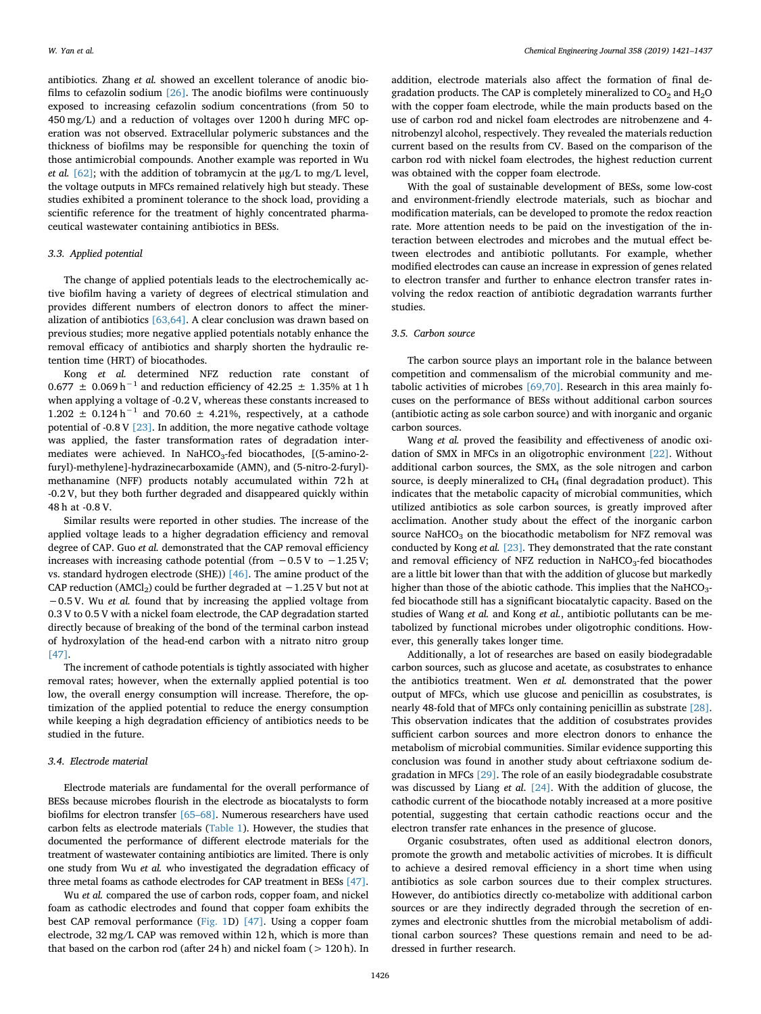antibiotics. Zhang *et al.* showed an excellent tolerance of anodic biofilms to cefazolin sodium [\[26\]](#page-15-7). The anodic biofilms were continuously exposed to increasing cefazolin sodium concentrations (from 50 to 450 mg/L) and a reduction of voltages over 1200 h during MFC operation was not observed. Extracellular polymeric substances and the thickness of biofilms may be responsible for quenching the toxin of those antimicrobial compounds. Another example was reported in Wu *et al.* [\[62\]](#page-15-36); with the addition of tobramycin at the μg/L to mg/L level, the voltage outputs in MFCs remained relatively high but steady. These studies exhibited a prominent tolerance to the shock load, providing a scientific reference for the treatment of highly concentrated pharmaceutical wastewater containing antibiotics in BESs.

# *3.3. Applied potential*

The change of applied potentials leads to the electrochemically active biofilm having a variety of degrees of electrical stimulation and provides different numbers of electron donors to affect the mineralization of antibiotics [\[63,64\].](#page-15-37) A clear conclusion was drawn based on previous studies; more negative applied potentials notably enhance the removal efficacy of antibiotics and sharply shorten the hydraulic retention time (HRT) of biocathodes.

Kong *et al.* determined NFZ reduction rate constant of  $0.677 \pm 0.069 \,\rm h^{-1}$  and reduction efficiency of 42.25  $\pm$  1.35% at 1 h when applying a voltage of -0.2 V, whereas these constants increased to  $1.202 \pm 0.124 \text{ h}^{-1}$  and  $70.60 \pm 4.21\%$ , respectively, at a cathode potential of -0.8 V [\[23\]](#page-15-2). In addition, the more negative cathode voltage was applied, the faster transformation rates of degradation intermediates were achieved. In NaHCO<sub>3</sub>-fed biocathodes, [(5-amino-2furyl)-methylene]-hydrazinecarboxamide (AMN), and (5-nitro-2-furyl) methanamine (NFF) products notably accumulated within 72 h at -0.2 V, but they both further degraded and disappeared quickly within 48 h at -0.8 V.

Similar results were reported in other studies. The increase of the applied voltage leads to a higher degradation efficiency and removal degree of CAP. Guo *et al.* demonstrated that the CAP removal efficiency increases with increasing cathode potential (from −0.5 V to −1.25 V; vs. standard hydrogen electrode (SHE)) [\[46\].](#page-15-28) The amine product of the CAP reduction (AMCl<sub>2</sub>) could be further degraded at  $-1.25$  V but not at −0.5 V. Wu *et al.* found that by increasing the applied voltage from 0.3 V to 0.5 V with a nickel foam electrode, the CAP degradation started directly because of breaking of the bond of the terminal carbon instead of hydroxylation of the head-end carbon with a nitrato nitro group [\[47\]](#page-15-29).

The increment of cathode potentials is tightly associated with higher removal rates; however, when the externally applied potential is too low, the overall energy consumption will increase. Therefore, the optimization of the applied potential to reduce the energy consumption while keeping a high degradation efficiency of antibiotics needs to be studied in the future.

## *3.4. Electrode material*

Electrode materials are fundamental for the overall performance of BESs because microbes flourish in the electrode as biocatalysts to form biofilms for electron transfer [\[65–68\].](#page-15-38) Numerous researchers have used carbon felts as electrode materials ([Table 1](#page-2-0)). However, the studies that documented the performance of different electrode materials for the treatment of wastewater containing antibiotics are limited. There is only one study from Wu *et al.* who investigated the degradation efficacy of three metal foams as cathode electrodes for CAP treatment in BESs [\[47\]](#page-15-29).

Wu *et al.* compared the use of carbon rods, copper foam, and nickel foam as cathodic electrodes and found that copper foam exhibits the best CAP removal performance [\(Fig. 1D](#page-3-0)) [\[47\]](#page-15-29). Using a copper foam electrode, 32 mg/L CAP was removed within 12 h, which is more than that based on the carbon rod (after  $24 h$ ) and nickel foam ( $> 120 h$ ). In addition, electrode materials also affect the formation of final degradation products. The CAP is completely mineralized to  $CO<sub>2</sub>$  and  $H<sub>2</sub>O$ with the copper foam electrode, while the main products based on the use of carbon rod and nickel foam electrodes are nitrobenzene and 4 nitrobenzyl alcohol, respectively. They revealed the materials reduction current based on the results from CV. Based on the comparison of the carbon rod with nickel foam electrodes, the highest reduction current was obtained with the copper foam electrode.

With the goal of sustainable development of BESs, some low-cost and environment-friendly electrode materials, such as biochar and modification materials, can be developed to promote the redox reaction rate. More attention needs to be paid on the investigation of the interaction between electrodes and microbes and the mutual effect between electrodes and antibiotic pollutants. For example, whether modified electrodes can cause an increase in expression of genes related to electron transfer and further to enhance electron transfer rates involving the redox reaction of antibiotic degradation warrants further studies.

#### *3.5. Carbon source*

The carbon source plays an important role in the balance between competition and commensalism of the microbial community and metabolic activities of microbes [\[69,70\].](#page-15-39) Research in this area mainly focuses on the performance of BESs without additional carbon sources (antibiotic acting as sole carbon source) and with inorganic and organic carbon sources.

Wang *et al.* proved the feasibility and effectiveness of anodic oxidation of SMX in MFCs in an oligotrophic environment [\[22\].](#page-15-1) Without additional carbon sources, the SMX, as the sole nitrogen and carbon source, is deeply mineralized to CH4 (final degradation product). This indicates that the metabolic capacity of microbial communities, which utilized antibiotics as sole carbon sources, is greatly improved after acclimation. Another study about the effect of the inorganic carbon source NaHCO<sub>3</sub> on the biocathodic metabolism for NFZ removal was conducted by Kong *et al.* [\[23\]](#page-15-2)*.* They demonstrated that the rate constant and removal efficiency of NFZ reduction in NaHCO<sub>3</sub>-fed biocathodes are a little bit lower than that with the addition of glucose but markedly higher than those of the abiotic cathode. This implies that the NaHCO<sub>3</sub>fed biocathode still has a significant biocatalytic capacity. Based on the studies of Wang *et al.* and Kong *et al.*, antibiotic pollutants can be metabolized by functional microbes under oligotrophic conditions. However, this generally takes longer time.

Additionally, a lot of researches are based on easily biodegradable carbon sources, such as glucose and acetate, as cosubstrates to enhance the antibiotics treatment. Wen *et al.* demonstrated that the power output of MFCs, which use glucose and penicillin as cosubstrates, is nearly 48-fold that of MFCs only containing penicillin as substrate [\[28\]](#page-15-9). This observation indicates that the addition of cosubstrates provides sufficient carbon sources and more electron donors to enhance the metabolism of microbial communities. Similar evidence supporting this conclusion was found in another study about ceftriaxone sodium degradation in MFCs [\[29\].](#page-15-10) The role of an easily biodegradable cosubstrate was discussed by Liang *et al*. [\[24\]](#page-15-25). With the addition of glucose, the cathodic current of the biocathode notably increased at a more positive potential, suggesting that certain cathodic reactions occur and the electron transfer rate enhances in the presence of glucose.

Organic cosubstrates, often used as additional electron donors, promote the growth and metabolic activities of microbes. It is difficult to achieve a desired removal efficiency in a short time when using antibiotics as sole carbon sources due to their complex structures. However, do antibiotics directly co-metabolize with additional carbon sources or are they indirectly degraded through the secretion of enzymes and electronic shuttles from the microbial metabolism of additional carbon sources? These questions remain and need to be addressed in further research.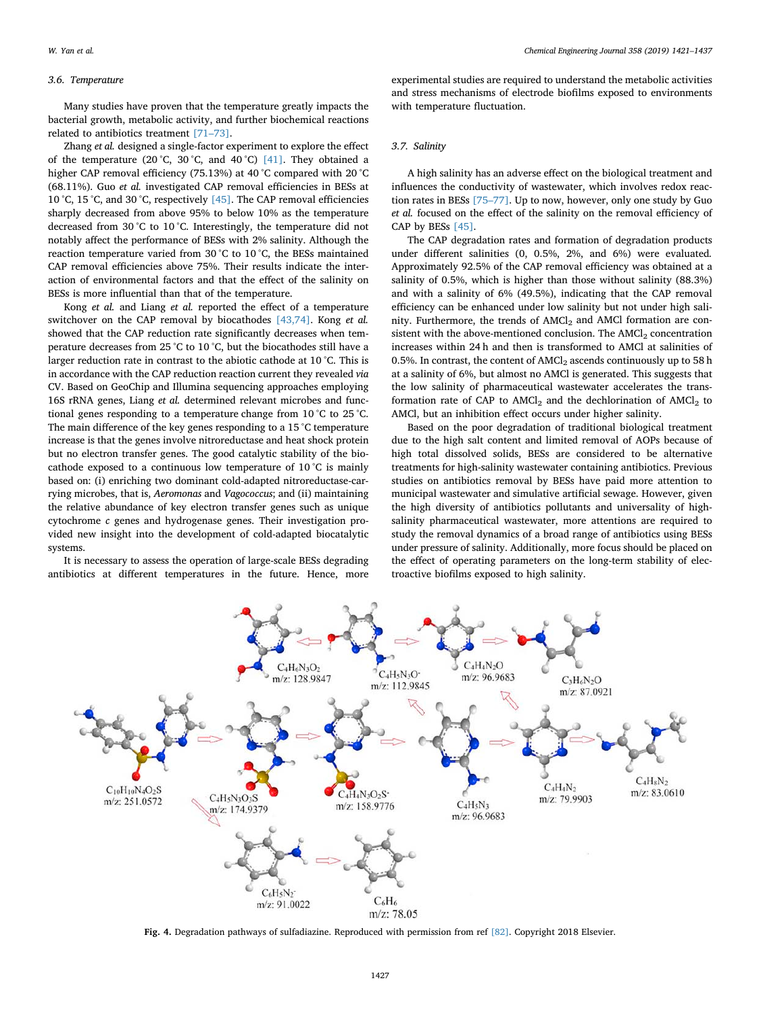## *3.6. Temperature*

Many studies have proven that the temperature greatly impacts the bacterial growth, metabolic activity, and further biochemical reactions related to antibiotics treatment [\[71–73\].](#page-15-40)

Zhang *et al.* designed a single-factor experiment to explore the effect of the temperature (20 °C, 30 °C, and 40 °C) [\[41\].](#page-15-22) They obtained a higher CAP removal efficiency (75.13%) at 40 °C compared with 20 °C (68.11%). Guo *et al.* investigated CAP removal efficiencies in BESs at 10 °C, 15 °C, and 30 °C, respectively [\[45\].](#page-15-27) The CAP removal efficiencies sharply decreased from above 95% to below 10% as the temperature decreased from 30 °C to 10 °C. Interestingly, the temperature did not notably affect the performance of BESs with 2% salinity. Although the reaction temperature varied from 30 °C to 10 °C, the BESs maintained CAP removal efficiencies above 75%. Their results indicate the interaction of environmental factors and that the effect of the salinity on BESs is more influential than that of the temperature.

Kong *et al.* and Liang *et al.* reported the effect of a temperature switchover on the CAP removal by biocathodes [\[43,74\]](#page-15-24). Kong *et al.* showed that the CAP reduction rate significantly decreases when temperature decreases from 25 °C to 10 °C, but the biocathodes still have a larger reduction rate in contrast to the abiotic cathode at 10 °C. This is in accordance with the CAP reduction reaction current they revealed *via* CV. Based on GeoChip and Illumina sequencing approaches employing 16S rRNA genes, Liang *et al.* determined relevant microbes and functional genes responding to a temperature change from 10 °C to 25 °C. The main difference of the key genes responding to a 15 °C temperature increase is that the genes involve nitroreductase and heat shock protein but no electron transfer genes. The good catalytic stability of the biocathode exposed to a continuous low temperature of 10 °C is mainly based on: (i) enriching two dominant cold-adapted nitroreductase-carrying microbes, that is, *Aeromonas* and *Vagococcus*; and (ii) maintaining the relative abundance of key electron transfer genes such as unique cytochrome *c* genes and hydrogenase genes. Their investigation provided new insight into the development of cold-adapted biocatalytic systems.

It is necessary to assess the operation of large-scale BESs degrading antibiotics at different temperatures in the future. Hence, more

experimental studies are required to understand the metabolic activities and stress mechanisms of electrode biofilms exposed to environments with temperature fluctuation.

#### *3.7. Salinity*

A high salinity has an adverse effect on the biological treatment and influences the conductivity of wastewater, which involves redox reaction rates in BESs [\[75–77\].](#page-15-41) Up to now, however, only one study by Guo *et al.* focused on the effect of the salinity on the removal efficiency of CAP by BESs [\[45\].](#page-15-27)

The CAP degradation rates and formation of degradation products under different salinities (0, 0.5%, 2%, and 6%) were evaluated*.* Approximately 92.5% of the CAP removal efficiency was obtained at a salinity of 0.5%, which is higher than those without salinity (88.3%) and with a salinity of 6% (49.5%), indicating that the CAP removal efficiency can be enhanced under low salinity but not under high salinity. Furthermore, the trends of  $AMCl<sub>2</sub>$  and  $AMCl$  formation are consistent with the above-mentioned conclusion. The  $AMCl<sub>2</sub>$  concentration increases within 24 h and then is transformed to AMCl at salinities of 0.5%. In contrast, the content of  $AMCl<sub>2</sub>$  ascends continuously up to 58 h at a salinity of 6%, but almost no AMCl is generated. This suggests that the low salinity of pharmaceutical wastewater accelerates the transformation rate of CAP to  $AMCl<sub>2</sub>$  and the dechlorination of  $AMCl<sub>2</sub>$  to AMCl, but an inhibition effect occurs under higher salinity.

Based on the poor degradation of traditional biological treatment due to the high salt content and limited removal of AOPs because of high total dissolved solids, BESs are considered to be alternative treatments for high-salinity wastewater containing antibiotics. Previous studies on antibiotics removal by BESs have paid more attention to municipal wastewater and simulative artificial sewage. However, given the high diversity of antibiotics pollutants and universality of highsalinity pharmaceutical wastewater, more attentions are required to study the removal dynamics of a broad range of antibiotics using BESs under pressure of salinity. Additionally, more focus should be placed on the effect of operating parameters on the long-term stability of electroactive biofilms exposed to high salinity.

<span id="page-6-0"></span>

**Fig. 4.** Degradation pathways of sulfadiazine. Reproduced with permission from ref [\[82\]](#page-16-0). Copyright 2018 Elsevier.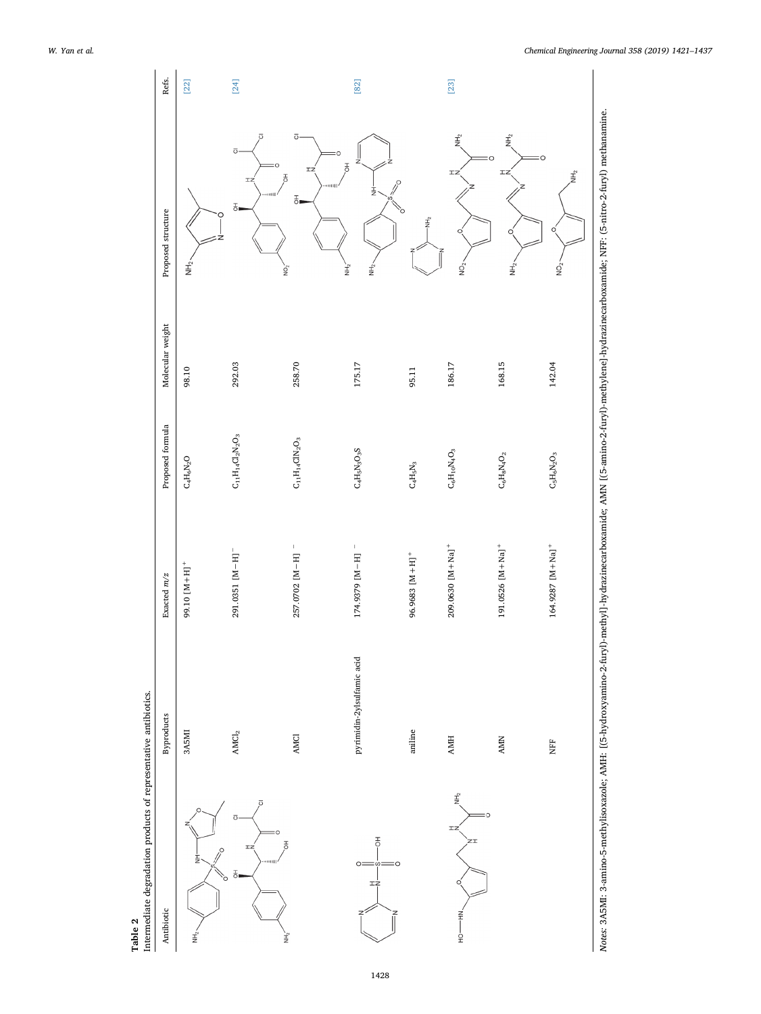Table 2<br>Intermediate degradation products of representative antibiotics. Intermediate degradation products of representative antibiotics.

<span id="page-7-0"></span>

| 257.0702 [M-H] =<br>174.9379 [M-H] -<br>291.0351 [M-H]<br>$96.9683$ [M + H] <sup>+</sup><br>99.10 [M + H] <sup>+</sup><br>pyrimidin-2ylsulfamic acid<br>aniline<br>$\mathbf{AMCl}_2$<br>3A5MI<br><b>AMCI</b><br>ō<br>ō<br>$\overline{\overline{6}}$<br>풍<br>IZ<br>H<br>Ö<br>О<br>$\omega$<br>공<br>$\circ$<br>rġ<br>z<br>ن<br>انگر<br>į | $\mathrm{C_4H_6N_2O}$                                                           | 98.10  | NH <sub>2</sub>                                                           | $[22]$ |
|----------------------------------------------------------------------------------------------------------------------------------------------------------------------------------------------------------------------------------------------------------------------------------------------------------------------------------------|---------------------------------------------------------------------------------|--------|---------------------------------------------------------------------------|--------|
|                                                                                                                                                                                                                                                                                                                                        |                                                                                 |        |                                                                           |        |
|                                                                                                                                                                                                                                                                                                                                        | $\mathrm{C}_{11}\mathrm{H}_{14}\mathrm{C} \mathrm{l}_2\mathrm{N}_2\mathrm{O}_3$ | 292.03 | ō<br>$\overline{\mathrm{o}}$<br>IZ<br>풍                                   | $[24]$ |
|                                                                                                                                                                                                                                                                                                                                        | $\mathrm{C}_{11}\mathrm{H}_{14}\mathrm{CIN}_2\mathrm{O}_3$                      | 258.70 | ō<br>С<br>$\bar{5}$<br>IZ<br>$\overline{5}$<br>$\frac{1}{\sqrt{2}}$<br>ò, |        |
|                                                                                                                                                                                                                                                                                                                                        | $C_4H_5N_3O_3S$                                                                 | 175.17 | ₹<br>Ė<br>Ì                                                               | $[82]$ |
|                                                                                                                                                                                                                                                                                                                                        | $\rm{C_4H_5N_3}$                                                                | 95.11  | $\frac{1}{2}$                                                             |        |
| $209.0630$ [M + Na] <sup>+</sup><br><b>AMH</b><br>Î,<br>ΙZ<br>ミーー<br>$\frac{1}{2}$                                                                                                                                                                                                                                                     | $\mathrm{C_6H_1oNaO_3}$                                                         | 186.17 | Ê<br>IZ<br>C<br>δ<br>Ω                                                    | $[23]$ |
| $191.0526$ [M + Na] <sup>+</sup><br><b>AMN</b>                                                                                                                                                                                                                                                                                         | $\mathrm{C}_6\mathrm{H}_8\mathrm{N}_4\mathrm{O}_2$                              | 168.15 | $\vec{E}$<br>о<br>IZ<br>O<br>ر<br>اچ                                      |        |
| Notes: 3A5MI: 3-amino-5-methylisoxazole; AMH: [(5-hydroxyamino-2-furyl)-methyl]-hydrazinecarboxamide; AMN [(5-amino-2-furyl)-methylene]-hydrazinecarboxamide; NFF: (5-nitro-2-furyl) methanamine.<br>$164.9287$ [M + Na] <sup>+</sup><br>È                                                                                             | $\mathrm{C_{5}H_{6}N_{2}O_{3}}$                                                 | 142.04 | C<br>子<br>三<br>O<br>$\frac{1}{2}$                                         |        |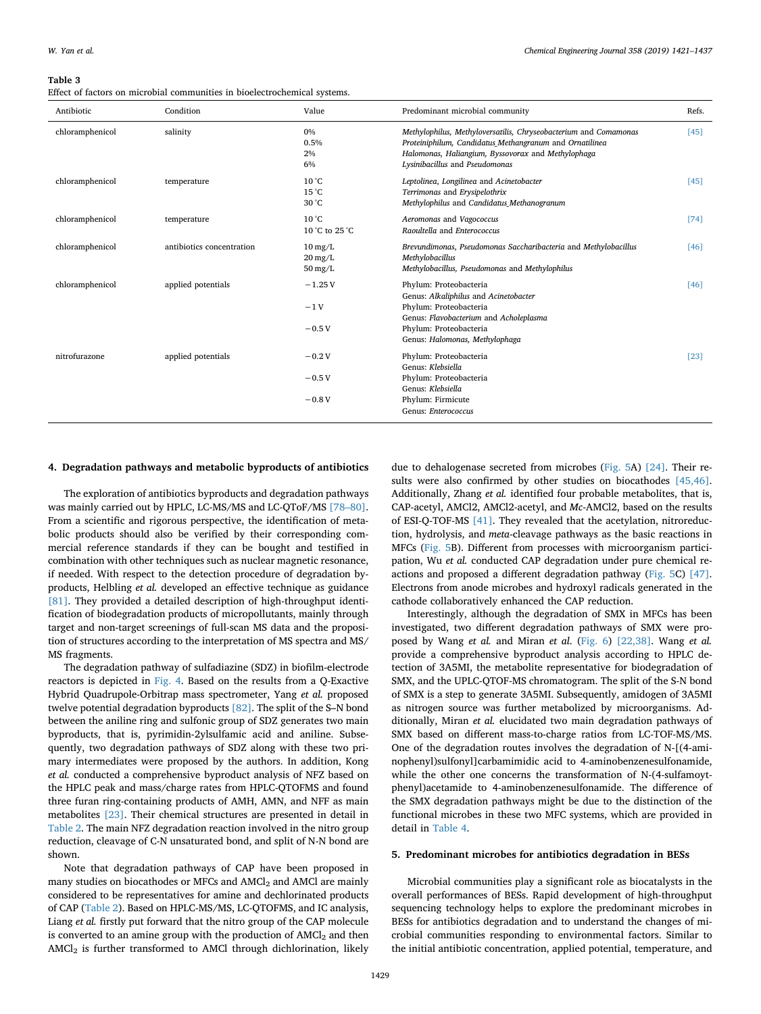#### <span id="page-8-0"></span>**Table 3**

Effect of factors on microbial communities in bioelectrochemical systems.

| Antibiotic      | Condition                 | Value                                                                | Predominant microbial community                                                                                                                                                                                     | Refs. |
|-----------------|---------------------------|----------------------------------------------------------------------|---------------------------------------------------------------------------------------------------------------------------------------------------------------------------------------------------------------------|-------|
| chloramphenicol | salinity                  | 0%<br>0.5%<br>2%<br>6%                                               | Methylophilus, Methyloversatilis, Chryseobacterium and Comamonas<br>Proteiniphilum, Candidatus Methangranum and Ornatilinea<br>Halomonas, Haliangium, Byssovorax and Methylophaga<br>Lysinibacillus and Pseudomonas | [45]  |
| chloramphenicol | temperature               | $10^{\circ}$ C<br>$15^{\circ}$ C<br>30 °C                            | Leptolinea, Longilinea and Acinetobacter<br>Terrimonas and Erysipelothrix<br>Methylophilus and Candidatus Methanogranum                                                                                             | [45]  |
| chloramphenicol | temperature               | $10^{\circ}$ C<br>10 °C to 25 °C                                     | Aeromonas and Vagococcus<br>Raoultella and Enterococcus                                                                                                                                                             | [74]  |
| chloramphenicol | antibiotics concentration | $10 \,\mathrm{mg/L}$<br>$20 \,\mathrm{mg/L}$<br>$50 \,\mathrm{mg/L}$ | Brevundimonas, Pseudomonas Saccharibacteria and Methylobacillus<br>Methylobacillus<br>Methylobacillus, Pseudomonas and Methylophilus                                                                                | [46]  |
| chloramphenicol | applied potentials        | $-1.25V$<br>$-1V$<br>$-0.5V$                                         | Phylum: Proteobacteria<br>Genus: Alkaliphilus and Acinetobacter<br>Phylum: Proteobacteria<br>Genus: Flavobacterium and Acholeplasma<br>Phylum: Proteobacteria                                                       | [46]  |
| nitrofurazone   | applied potentials        | $-0.2V$<br>$-0.5V$<br>$-0.8V$                                        | Genus: Halomonas, Methylophaga<br>Phylum: Proteobacteria<br>Genus: Klebsiella<br>Phylum: Proteobacteria<br>Genus: Klebsiella<br>Phylum: Firmicute<br>Genus: Enterococcus                                            | [23]  |

# **4. Degradation pathways and metabolic byproducts of antibiotics**

The exploration of antibiotics byproducts and degradation pathways was mainly carried out by HPLC, LC-MS/MS and LC-QToF/MS [\[78–80\]](#page-16-1). From a scientific and rigorous perspective, the identification of metabolic products should also be verified by their corresponding commercial reference standards if they can be bought and testified in combination with other techniques such as nuclear magnetic resonance, if needed. With respect to the detection procedure of degradation byproducts, Helbling *et al.* developed an effective technique as guidance [\[81\]](#page-16-2). They provided a detailed description of high-throughput identification of biodegradation products of micropollutants, mainly through target and non-target screenings of full-scan MS data and the proposition of structures according to the interpretation of MS spectra and MS/ MS fragments.

The degradation pathway of sulfadiazine (SDZ) in biofilm-electrode reactors is depicted in [Fig. 4.](#page-6-0) Based on the results from a Q-Exactive Hybrid Quadrupole-Orbitrap mass spectrometer, Yang *et al.* proposed twelve potential degradation byproducts [\[82\]](#page-16-0). The split of the S–N bond between the aniline ring and sulfonic group of SDZ generates two main byproducts, that is, pyrimidin-2ylsulfamic acid and aniline. Subsequently, two degradation pathways of SDZ along with these two primary intermediates were proposed by the authors. In addition, Kong *et al.* conducted a comprehensive byproduct analysis of NFZ based on the HPLC peak and mass/charge rates from HPLC-QTOFMS and found three furan ring-containing products of AMH, AMN, and NFF as main metabolites [\[23\]](#page-15-2). Their chemical structures are presented in detail in [Table 2.](#page-7-0) The main NFZ degradation reaction involved in the nitro group reduction, cleavage of C-N unsaturated bond, and split of N-N bond are shown.

Note that degradation pathways of CAP have been proposed in many studies on biocathodes or MFCs and AMCl<sub>2</sub> and AMCl are mainly considered to be representatives for amine and dechlorinated products of CAP ([Table 2\)](#page-7-0). Based on HPLC-MS/MS, LC-QTOFMS, and IC analysis, Liang *et al.* firstly put forward that the nitro group of the CAP molecule is converted to an amine group with the production of  $AMCl<sub>2</sub>$  and then AMCl<sub>2</sub> is further transformed to AMCl through dichlorination, likely

due to dehalogenase secreted from microbes [\(Fig. 5A](#page-9-0)) [\[24\].](#page-15-25) Their results were also confirmed by other studies on biocathodes [\[45,46\]](#page-15-27). Additionally, Zhang *et al.* identified four probable metabolites, that is, CAP-acetyl, AMCl2, AMCl2-acetyl, and *Mc*-AMCl2, based on the results of ESI-Q-TOF-MS [\[41\].](#page-15-22) They revealed that the acetylation, nitroreduction, hydrolysis, and *meta*-cleavage pathways as the basic reactions in MFCs [\(Fig. 5](#page-9-0)B). Different from processes with microorganism participation, Wu *et al.* conducted CAP degradation under pure chemical reactions and proposed a different degradation pathway [\(Fig. 5C](#page-9-0)) [\[47\]](#page-15-29). Electrons from anode microbes and hydroxyl radicals generated in the cathode collaboratively enhanced the CAP reduction.

Interestingly, although the degradation of SMX in MFCs has been investigated, two different degradation pathways of SMX were proposed by Wang *et al.* and Miran *et al*. ([Fig. 6](#page-11-0)) [\[22,38\].](#page-15-1) Wang *et al.* provide a comprehensive byproduct analysis according to HPLC detection of 3A5MI, the metabolite representative for biodegradation of SMX, and the UPLC-QTOF-MS chromatogram. The split of the S-N bond of SMX is a step to generate 3A5MI. Subsequently, amidogen of 3A5MI as nitrogen source was further metabolized by microorganisms. Additionally, Miran *et al.* elucidated two main degradation pathways of SMX based on different mass-to-charge ratios from LC-TOF-MS/MS. One of the degradation routes involves the degradation of N-[(4-aminophenyl)sulfonyl]carbamimidic acid to 4-aminobenzenesulfonamide, while the other one concerns the transformation of N-(4-sulfamoytphenyl)acetamide to 4-aminobenzenesulfonamide. The difference of the SMX degradation pathways might be due to the distinction of the functional microbes in these two MFC systems, which are provided in detail in [Table 4](#page-12-0).

# **5. Predominant microbes for antibiotics degradation in BESs**

Microbial communities play a significant role as biocatalysts in the overall performances of BESs. Rapid development of high-throughput sequencing technology helps to explore the predominant microbes in BESs for antibiotics degradation and to understand the changes of microbial communities responding to environmental factors. Similar to the initial antibiotic concentration, applied potential, temperature, and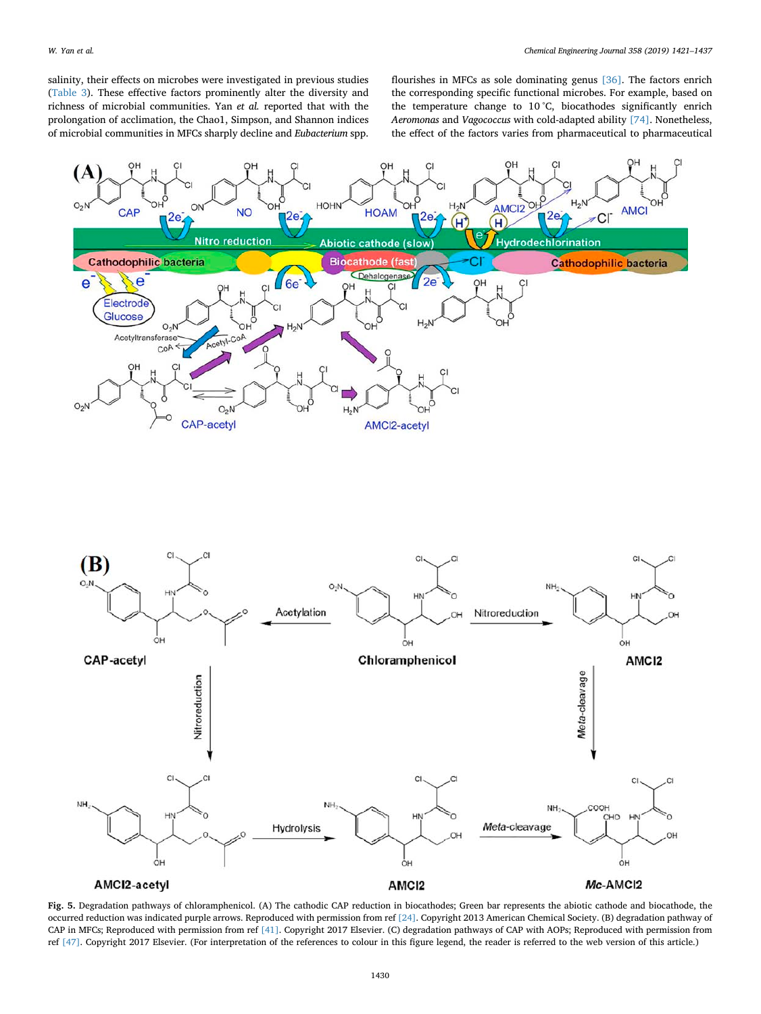salinity, their effects on microbes were investigated in previous studies ([Table 3\)](#page-8-0). These effective factors prominently alter the diversity and richness of microbial communities. Yan *et al.* reported that with the prolongation of acclimation, the Chao1, Simpson, and Shannon indices of microbial communities in MFCs sharply decline and *Eubacterium* spp.

flourishes in MFCs as sole dominating genus [\[36\].](#page-15-17) The factors enrich the corresponding specific functional microbes. For example, based on the temperature change to 10 °C, biocathodes significantly enrich *Aeromonas* and *Vagococcus* with cold-adapted ability [\[74\].](#page-15-42) Nonetheless, the effect of the factors varies from pharmaceutical to pharmaceutical

<span id="page-9-0"></span>



**Fig. 5.** Degradation pathways of chloramphenicol. (A) The cathodic CAP reduction in biocathodes; Green bar represents the abiotic cathode and biocathode, the occurred reduction was indicated purple arrows. Reproduced with permission from ref [\[24\].](#page-15-25) Copyright 2013 American Chemical Society. (B) degradation pathway of CAP in MFCs; Reproduced with permission from ref [\[41\]](#page-15-22). Copyright 2017 Elsevier. (C) degradation pathways of CAP with AOPs; Reproduced with permission from ref [\[47\].](#page-15-29) Copyright 2017 Elsevier. (For interpretation of the references to colour in this figure legend, the reader is referred to the web version of this article.)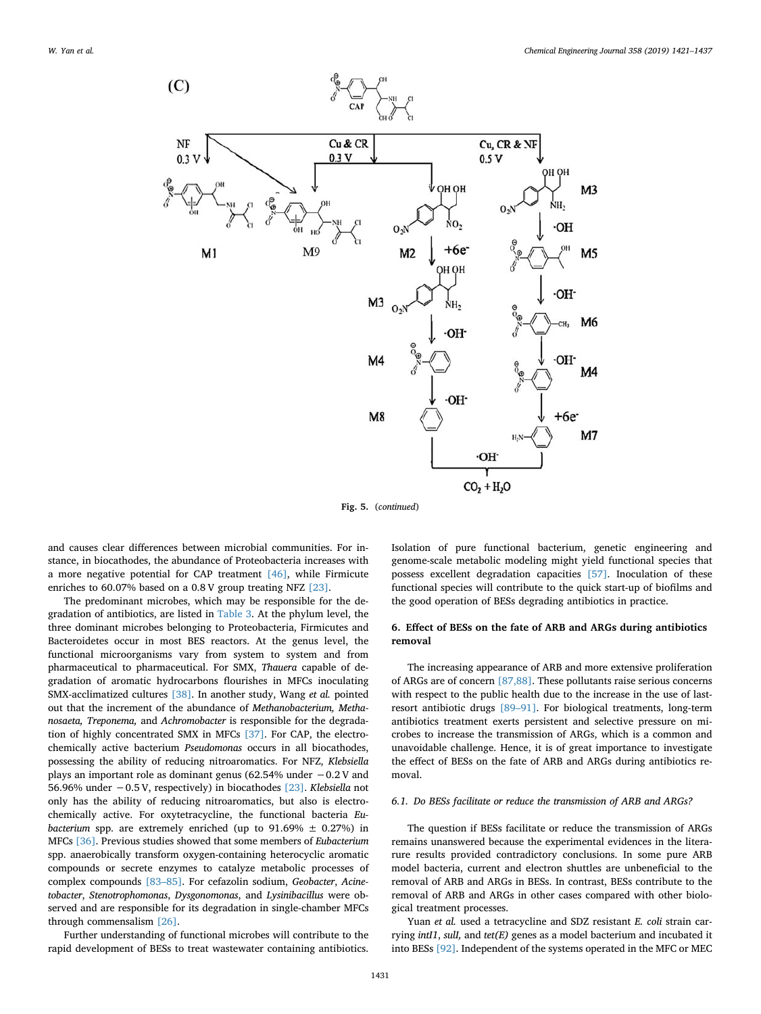

**Fig. 5.** (*continued*)

and causes clear differences between microbial communities. For instance, in biocathodes, the abundance of Proteobacteria increases with a more negative potential for CAP treatment [\[46\],](#page-15-28) while Firmicute enriches to 60.07% based on a 0.8 V group treating NFZ [\[23\]](#page-15-2).

The predominant microbes, which may be responsible for the degradation of antibiotics, are listed in [Table 3.](#page-8-0) At the phylum level, the three dominant microbes belonging to Proteobacteria, Firmicutes and Bacteroidetes occur in most BES reactors. At the genus level, the functional microorganisms vary from system to system and from pharmaceutical to pharmaceutical. For SMX, *Thauera* capable of degradation of aromatic hydrocarbons flourishes in MFCs inoculating SMX-acclimatized cultures [\[38\].](#page-15-19) In another study, Wang *et al.* pointed out that the increment of the abundance of *Methanobacterium, Methanosaeta, Treponema,* and *Achromobacter* is responsible for the degradation of highly concentrated SMX in MFCs [\[37\]](#page-15-18). For CAP, the electrochemically active bacterium *Pseudomonas* occurs in all biocathodes, possessing the ability of reducing nitroaromatics. For NFZ, *Klebsiella* plays an important role as dominant genus (62.54% under −0.2 V and 56.96% under −0.5 V, respectively) in biocathodes [\[23\]](#page-15-2). *Klebsiella* not only has the ability of reducing nitroaromatics, but also is electrochemically active. For oxytetracycline, the functional bacteria *Eubacterium* spp. are extremely enriched (up to  $91.69\% \pm 0.27\%$ ) in MFCs [\[36\].](#page-15-17) Previous studies showed that some members of *Eubacterium* spp. anaerobically transform oxygen-containing heterocyclic aromatic compounds or secrete enzymes to catalyze metabolic processes of complex compounds [\[83–85\].](#page-16-3) For cefazolin sodium, *Geobacter*, *Acinetobacter*, *Stenotrophomonas*, *Dysgonomonas*, and *Lysinibacillus* were observed and are responsible for its degradation in single-chamber MFCs through commensalism [\[26\].](#page-15-7)

Further understanding of functional microbes will contribute to the rapid development of BESs to treat wastewater containing antibiotics.

Isolation of pure functional bacterium, genetic engineering and genome-scale metabolic modeling might yield functional species that possess excellent degradation capacities [\[57\]](#page-15-43). Inoculation of these functional species will contribute to the quick start-up of biofilms and the good operation of BESs degrading antibiotics in practice.

# **6. Effect of BESs on the fate of ARB and ARGs during antibiotics removal**

The increasing appearance of ARB and more extensive proliferation of ARGs are of concern [\[87,88\].](#page-16-4) These pollutants raise serious concerns with respect to the public health due to the increase in the use of lastresort antibiotic drugs [\[89–91\].](#page-16-5) For biological treatments, long-term antibiotics treatment exerts persistent and selective pressure on microbes to increase the transmission of ARGs, which is a common and unavoidable challenge. Hence, it is of great importance to investigate the effect of BESs on the fate of ARB and ARGs during antibiotics removal.

# <span id="page-10-0"></span>*6.1. Do BESs facilitate or reduce the transmission of ARB and ARGs?*

The question if BESs facilitate or reduce the transmission of ARGs remains unanswered because the experimental evidences in the literarure results provided contradictory conclusions. In some pure ARB model bacteria, current and electron shuttles are unbeneficial to the removal of ARB and ARGs in BESs. In contrast, BESs contribute to the removal of ARB and ARGs in other cases compared with other biological treatment processes.

Yuan *et al.* used a tetracycline and SDZ resistant *E. coli* strain carrying *intI1*, *sulI,* and *tet(E)* genes as a model bacterium and incubated it into BESs [\[92\]](#page-16-6). Independent of the systems operated in the MFC or MEC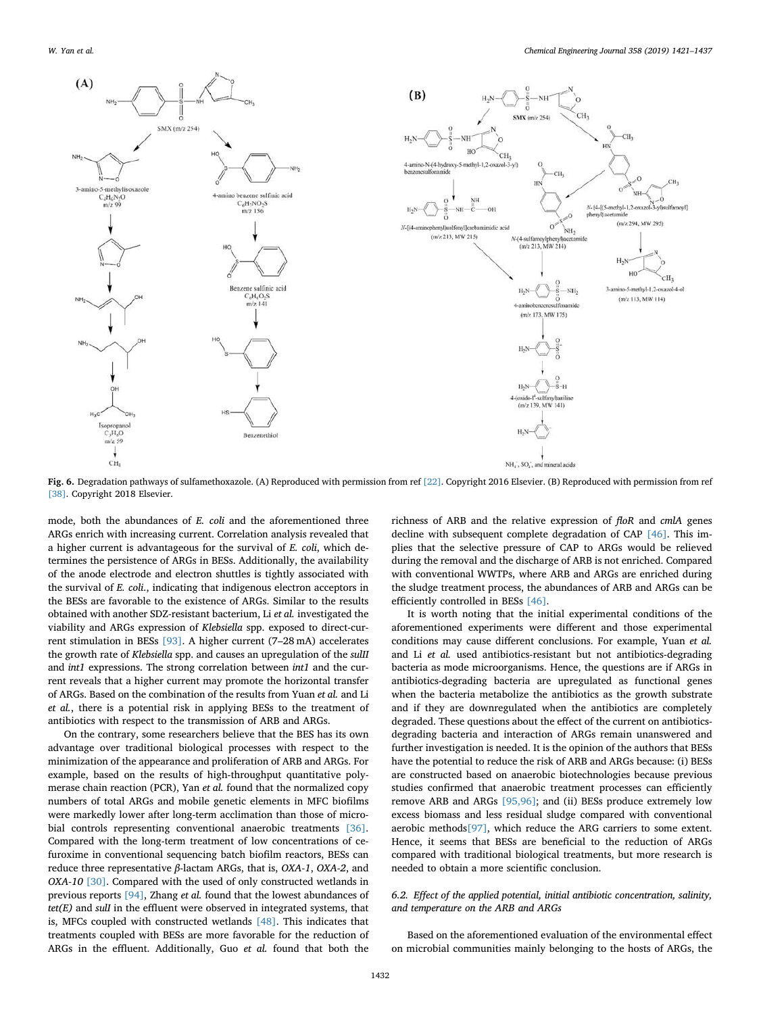<span id="page-11-0"></span>

**Fig. 6.** Degradation pathways of sulfamethoxazole. (A) Reproduced with permission from ref [\[22\]](#page-15-1). Copyright 2016 Elsevier. (B) Reproduced with permission from ref [\[38\].](#page-15-19) Copyright 2018 Elsevier.

mode, both the abundances of *E. coli* and the aforementioned three ARGs enrich with increasing current. Correlation analysis revealed that a higher current is advantageous for the survival of *E. coli*, which determines the persistence of ARGs in BESs. Additionally, the availability of the anode electrode and electron shuttles is tightly associated with the survival of *E. coli*., indicating that indigenous electron acceptors in the BESs are favorable to the existence of ARGs. Similar to the results obtained with another SDZ-resistant bacterium, Li *et al.* investigated the viability and ARGs expression of *Klebsiella* spp. exposed to direct-current stimulation in BESs [\[93\].](#page-16-7) A higher current (7–28 mA) accelerates the growth rate of *Klebsiella* spp. and causes an upregulation of the *sulII* and *int1* expressions. The strong correlation between *int1* and the current reveals that a higher current may promote the horizontal transfer of ARGs. Based on the combination of the results from Yuan *et al.* and Li *et al.*, there is a potential risk in applying BESs to the treatment of antibiotics with respect to the transmission of ARB and ARGs.

On the contrary, some researchers believe that the BES has its own advantage over traditional biological processes with respect to the minimization of the appearance and proliferation of ARB and ARGs. For example, based on the results of high-throughput quantitative polymerase chain reaction (PCR), Yan *et al.* found that the normalized copy numbers of total ARGs and mobile genetic elements in MFC biofilms were markedly lower after long-term acclimation than those of microbial controls representing conventional anaerobic treatments [\[36\]](#page-15-17). Compared with the long-term treatment of low concentrations of cefuroxime in conventional sequencing batch biofilm reactors, BESs can reduce three representative *β*-lactam ARGs, that is, *OXA-1*, *OXA-2*, and *OXA-10* [\[30\]](#page-15-11). Compared with the used of only constructed wetlands in previous reports [\[94\],](#page-16-8) Zhang *et al.* found that the lowest abundances of *tet(E)* and *sulI* in the effluent were observed in integrated systems, that is, MFCs coupled with constructed wetlands [\[48\]](#page-15-30). This indicates that treatments coupled with BESs are more favorable for the reduction of ARGs in the effluent. Additionally, Guo *et al.* found that both the

richness of ARB and the relative expression of *floR* and *cmlA* genes decline with subsequent complete degradation of CAP [\[46\]](#page-15-28). This implies that the selective pressure of CAP to ARGs would be relieved during the removal and the discharge of ARB is not enriched. Compared with conventional WWTPs, where ARB and ARGs are enriched during the sludge treatment process, the abundances of ARB and ARGs can be efficiently controlled in BESs [\[46\].](#page-15-28)

It is worth noting that the initial experimental conditions of the aforementioned experiments were different and those experimental conditions may cause different conclusions. For example, Yuan *et al.* and Li *et al.* used antibiotics-resistant but not antibiotics-degrading bacteria as mode microorganisms. Hence, the questions are if ARGs in antibiotics-degrading bacteria are upregulated as functional genes when the bacteria metabolize the antibiotics as the growth substrate and if they are downregulated when the antibiotics are completely degraded. These questions about the effect of the current on antibioticsdegrading bacteria and interaction of ARGs remain unanswered and further investigation is needed. It is the opinion of the authors that BESs have the potential to reduce the risk of ARB and ARGs because: (i) BESs are constructed based on anaerobic biotechnologies because previous studies confirmed that anaerobic treatment processes can efficiently remove ARB and ARGs [\[95,96\];](#page-16-9) and (ii) BESs produce extremely low excess biomass and less residual sludge compared with conventional aerobic methods[\[97\]](#page-16-10), which reduce the ARG carriers to some extent. Hence, it seems that BESs are beneficial to the reduction of ARGs compared with traditional biological treatments, but more research is needed to obtain a more scientific conclusion.

# *6.2. Effect of the applied potential, initial antibiotic concentration, salinity, and temperature on the ARB and ARGs*

Based on the aforementioned evaluation of the environmental effect on microbial communities mainly belonging to the hosts of ARGs, the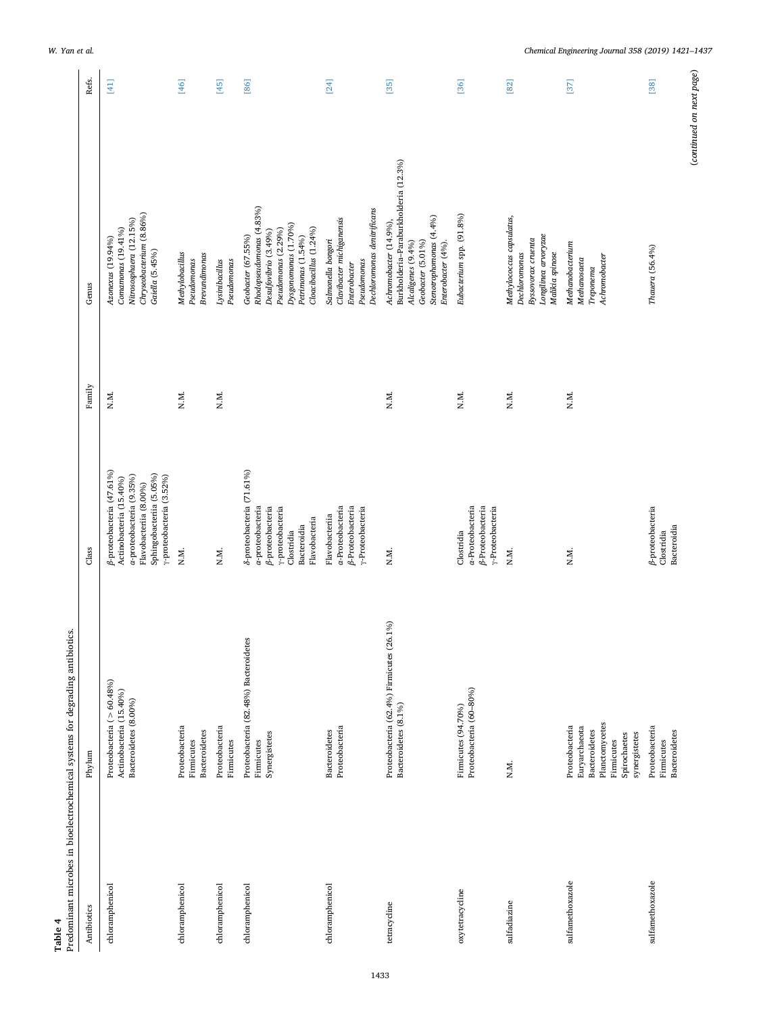<span id="page-12-0"></span>

| Table 4          | Predominant microbes in bioelectrochemical systems for degrading antibiotics.                                            |                                                                                                                                                                            |        |                                                                                                                                                                        |        |
|------------------|--------------------------------------------------------------------------------------------------------------------------|----------------------------------------------------------------------------------------------------------------------------------------------------------------------------|--------|------------------------------------------------------------------------------------------------------------------------------------------------------------------------|--------|
| Antibiotics      | Phylum                                                                                                                   | Class                                                                                                                                                                      | Family | Genus                                                                                                                                                                  | Refs.  |
| chloramphenicol  | Proteobacteria ( $> 60.48\%$ )<br>Actinobacteria (15.40%)<br>Bacteroidetes (8.00%)                                       | ß-proteobacteria (47.61%)<br>Sphingobacteriia (5.05%)<br>$\gamma$ -proteobacteria (3.52%)<br>a-proteobacteria (9.35%)<br>Actinobacteria (15.40%)<br>Flavobacteriia (8.00%) | N.M.   | Chryseobacterium (8.86%)<br>Nitrososphaera (12.15%)<br>Comanonas (19.41%)<br>Azonexus (19.94%)<br>Gaiella (5.45%)                                                      | $[41]$ |
| chloramphenicol  | Proteobacteria<br><b>Bacteroidetes</b><br>Firmicutes                                                                     | N.M.                                                                                                                                                                       | N.M.   | Methylobacillus<br>Brevundimonas<br>Pseudomonas                                                                                                                        | $[46]$ |
| chloramphenicol  | Proteobacteria<br>Firmicutes                                                                                             | N.M.                                                                                                                                                                       | N.M.   | Pseudomonas<br>Lysinibacillus                                                                                                                                          | [45]   |
| chloramphenicol  | Proteobacteria (82.48%) Bacteroidetes<br>Synergistetes<br>Firmicutes                                                     | 8-proteobacteria (71.61%)<br>a-proteobacteria<br>ß-proteobacteria<br>y-proteobacteria<br>Flavobacteria<br>Bacteroidia<br>Clostridia                                        |        | Rhodopseudomonas (4.83%)<br>Dysgonomonas (1.70%)<br>Cloacibacillus (1.24%)<br>Pseudomonas (2.29%)<br>Desulfovibrio (3.49%)<br>Geobacter (67.55%)<br>Petrimonas (1.54%) | $[86]$ |
| chloramphenicol  | Proteobacteria<br><b>Bacteroidetes</b>                                                                                   | a-Proteobacteria<br>β-Proteobacteria<br>y-Proteobacteria<br>Flavobacteria                                                                                                  |        | Dechloromonas denitrificans<br>Clavibacter michiganensis<br>Salmonella bongori<br>Pseudomonas<br>Enterobacter                                                          | [24]   |
| tetracycline     | Proteobacteria (62.4%) Firmicutes (26.1%)<br>Bacteroidetes (8.1%)                                                        | N.M.                                                                                                                                                                       | N.M.   | Burkholderia-Paraburkholderia (12.3%)<br>Stenotrophomonas (4.4%)<br>Achromobacter (14.9%),<br>Geobacter (5.01%)<br>Alcaligenes (9.4%)<br>Enterobacter (4%).            | $[35]$ |
| oxytetracycline  | Proteobacteria (60-80%)<br>Firmicutes (94.70%)                                                                           | a-Proteobacteria<br>β-Proteobacteria<br>y-Proteobacteria<br>Clostridia                                                                                                     | N.M.   | Eubacterium spp. (91.8%)                                                                                                                                               | $[36]$ |
| sulfadiazine     | N.M.                                                                                                                     | N.M.                                                                                                                                                                       | N.M.   | Methylococcus capsulatus,<br>Longilinea arvoryzae<br>Byssovorax cruenta<br>Malikia spinose<br>Dechloromonas                                                            | $[82]$ |
| sulfamethoxazole | Planctomycetes<br>Proteobacteria<br>Euryarchaeota<br><b>Bacteroidetes</b><br>synergistetes<br>Spirochaetes<br>Firmicutes | N.M.                                                                                                                                                                       | N.M.   | Methanobacterium<br>Achromobacter<br>Methanosaeta<br>Treponema                                                                                                         | $[37]$ |
| sulfamethoxazole | Proteobacteria<br><b>Bacteroidetes</b><br>Firmicutes                                                                     | ß-proteobacteria<br>Bacteroidia<br>Clostridia                                                                                                                              |        | Thauera (56.4%)                                                                                                                                                        | $[38]$ |
|                  |                                                                                                                          |                                                                                                                                                                            |        | (continued on next page)                                                                                                                                               |        |

*W. Yan et al. Chemical Engineering Journal 358 (2019) 1421–1437*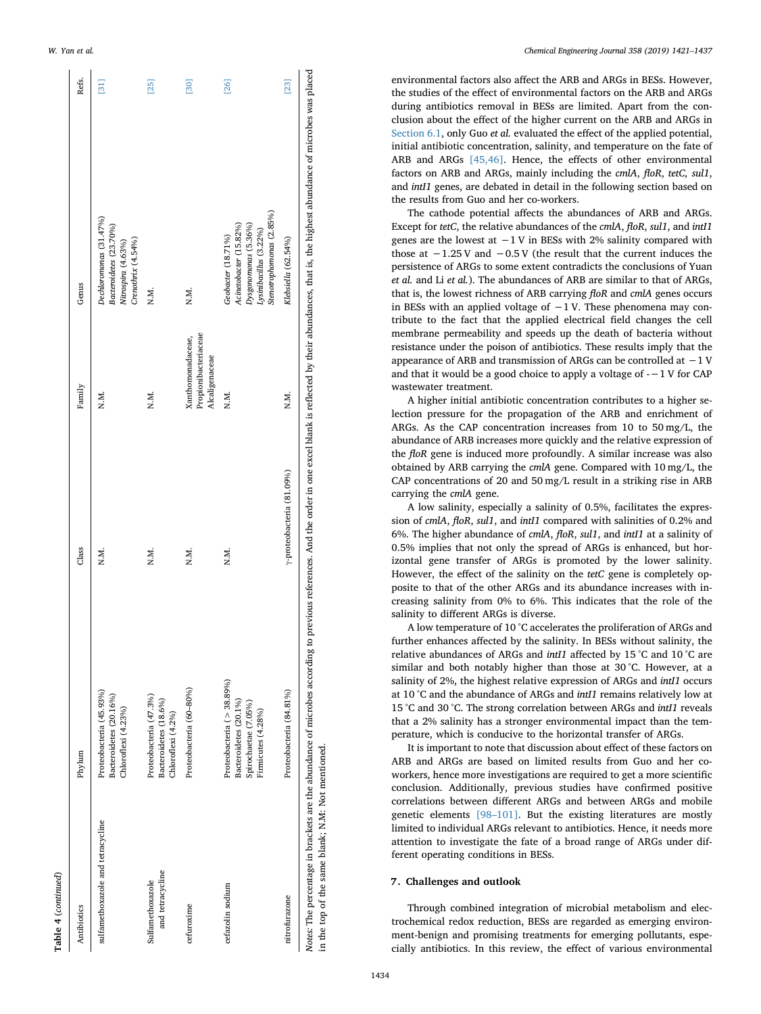| Table 4 (continued)                  |                                                                                                  |       |                                                             |                                                                                                                            |                                    |
|--------------------------------------|--------------------------------------------------------------------------------------------------|-------|-------------------------------------------------------------|----------------------------------------------------------------------------------------------------------------------------|------------------------------------|
| Antibiotics                          | Phylum                                                                                           | Class | Family                                                      | Genus                                                                                                                      | Refs.                              |
| sulfamethoxazole and tetracycline    | Proteobacteria (45.93%)<br>Bacteroidetes (20.16%)<br>Chloroflexi (4.23%)                         | N.M.  | N.M.                                                        | Dechloromonas (31.47%)<br>Bacteroidetes (23.70%)<br>Crenothrix (4.54%)<br>Nitrospira (4.63%)                               | $\begin{bmatrix} 31 \end{bmatrix}$ |
| and tetracycline<br>Sulfamethoxazole | Proteobacteria (47.3%)<br>Bacteroidetes (18.6%)<br>Chloroflexi (4.2%)                            | N.M.  | N.M.                                                        | N.M.                                                                                                                       | $[25]$                             |
| cefuroxime                           | Proteobacteria (60-80%)                                                                          | N.M.  | Propionibacteriaceae<br>Xanthomonadaceae,<br>Alcaligenaceae | N.M.                                                                                                                       | [30]                               |
| cefazolin sodium                     | Proteobacteria (> 38.89%)<br>Bacteroidetes (20.1%)<br>Spirochaetae (7.05%)<br>Firmicutes (4.28%) | N.M.  | N.M.                                                        | Stenotrophomonas (2.85%)<br>Acinetobacter (15.82%)<br>Dysgonomonas (5.36%)<br>Lysinibacillus (3.22%)<br>Geobacter (18.71%) | $[26]$                             |

Notes: The percentage in brackets are the abundance of microbes according to previous references. And the order in one excel blank is reflected by their abundances, that is, the highest abundance of microbes was placed Notes: The percentage in brackets are the abundance of microbes according to previous references. And the order in one excel blank is reflected by their abundances, that is, the highest abundance of microbes was placed in the top of the same blank; N.M: Not mentioned. in the top of the same blank; N.M: Not mentioned.

nitrofurazone Proteobacteria (84.81%) *γ-*proteobacteria (81.09%) N.M. *Klebsiella* (62.54%) [\[23\]](#page-15-2)

-proteobacteria (81.09%)

Proteobacteria (84.81%)

nitrofurazone

N.M.

environmental factors also affect the ARB and ARGs in BESs. However, the studies of the effect of environmental factors on the ARB and ARGs during antibiotics removal in BESs are limited. Apart from the conclusion about the effect of the higher current on the ARB and ARGs in [Section 6.1,](#page-10-0) only Guo *et al.* evaluated the effect of the applied potential, initial antibiotic concentration, salinity, and temperature on the fate of ARB and ARGs [\[45,46\]](#page-15-27). Hence, the effects of other environmental factors on ARB and ARGs, mainly including the *cmlA* , *floR* , *tetC, sul1* , and *intI1* genes, are debated in detail in the following section based on the results from Guo and her co-workers.

The cathode potential affects the abundances of ARB and ARGs. Except for *tetC*, the relative abundances of the *cmlA* , *floR* , *sul1*, and *intI1* genes are the lowest at  $-1$  V in BESs with 2% salinity compared with those at −1.25 V and −0.5 V (the result that the current induces the persistence of ARGs to some extent contradicts the conclusions of Yuan *et al.* and Li *et al.*). The abundances of ARB are similar to that of ARGs, that is, the lowest richness of ARB carrying *floR* and *cmlA* genes occurs in BESs with an applied voltage of  $-1$  V. These phenomena may contribute to the fact that the applied electrical field changes the cell membrane permeability and speeds up the death of bacteria without resistance under the poison of antibiotics. These results imply that the appearance of ARB and transmission of ARGs can be controlled at −1 V and that it would be a good choice to apply a voltage of -−1 V for CAP wastewater treatment.

A higher initial antibiotic concentration contributes to a higher selection pressure for the propagation of the ARB and enrichment of ARGs. As the CAP concentration increases from 10 to 50 mg/L, the abundance of ARB increases more quickly and the relative expression of the *floR* gene is induced more profoundly. A similar increase was also obtained by ARB carrying the *cmlA* gene. Compared with 10 mg/L, the CAP concentrations of 20 and 50 mg/L result in a striking rise in ARB carrying the *cmlA* gene.

A low salinity, especially a salinity of 0.5%, facilitates the expression of *cmlA*, *floR*, *sul1*, and *intI1* compared with salinities of 0.2% and 6%. The higher abundance of *cmlA* , *floR* , *sul1*, and *intI1* at a salinity of 0.5% implies that not only the spread of ARGs is enhanced, but horizontal gene transfer of ARGs is promoted by the lower salinity. However, the effect of the salinity on the *tetC* gene is completely opposite to that of the other ARGs and its abundance increases with increasing salinity from 0% to 6%. This indicates that the role of the salinity to different ARGs is diverse.

A low temperature of 10 °C accelerates the proliferation of ARGs and further enhances affected by the salinity. In BESs without salinity, the relative abundances of ARGs and *intI1* affected by 15 °C and 10 °C are similar and both notably higher than those at 30 °C. However, at a salinity of 2%, the highest relative expression of ARGs and *intI1* occurs at 10 °C and the abundance of ARGs and *intI1* remains relatively low at 15 °C and 30 °C. The strong correlation between ARGs and *intI1* reveals that a 2% salinity has a stronger environmental impact than the temperature, which is conducive to the horizontal transfer of ARGs.

It is important to note that discussion about effect of these factors on ARB and ARGs are based on limited results from Guo and her coworkers, hence more investigations are required to get a more scientific conclusion. Additionally, previous studies have confirmed positive correlations between different ARGs and between ARGs and mobile genetic elements [\[98–101\].](#page-16-12) But the existing literatures are mostly limited to individual ARGs relevant to antibiotics. Hence, it needs more attention to investigate the fate of a broad range of ARGs under different operating conditions in BESs.

#### **7. Challenges and outlook**

Through combined integration of microbial metabolism and electrochemical redox reduction, BESs are regarded as emerging environment-benign and promising treatments for emerging pollutants, especially antibiotics. In this review, the effect of various environmental

Refs.

[\[31\]](#page-15-12)

23]

Klebsiella (62.54%)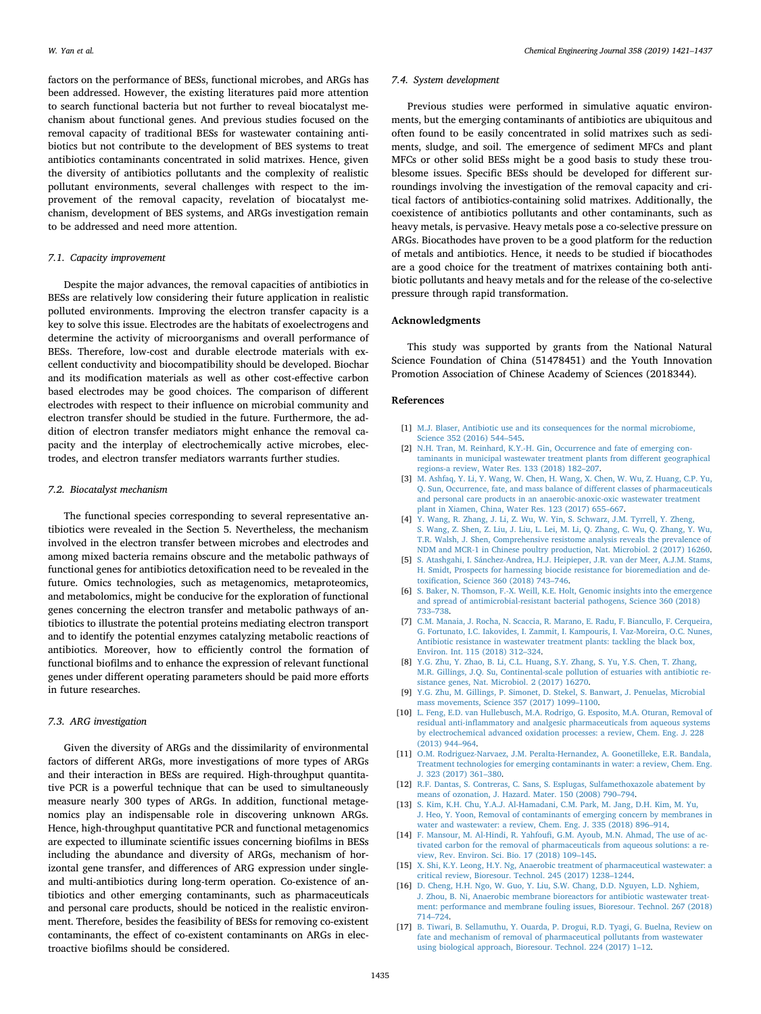factors on the performance of BESs, functional microbes, and ARGs has been addressed. However, the existing literatures paid more attention to search functional bacteria but not further to reveal biocatalyst mechanism about functional genes. And previous studies focused on the removal capacity of traditional BESs for wastewater containing antibiotics but not contribute to the development of BES systems to treat antibiotics contaminants concentrated in solid matrixes. Hence, given the diversity of antibiotics pollutants and the complexity of realistic pollutant environments, several challenges with respect to the improvement of the removal capacity, revelation of biocatalyst mechanism, development of BES systems, and ARGs investigation remain to be addressed and need more attention.

### *7.1. Capacity improvement*

Despite the major advances, the removal capacities of antibiotics in BESs are relatively low considering their future application in realistic polluted environments. Improving the electron transfer capacity is a key to solve this issue. Electrodes are the habitats of exoelectrogens and determine the activity of microorganisms and overall performance of BESs. Therefore, low-cost and durable electrode materials with excellent conductivity and biocompatibility should be developed. Biochar and its modification materials as well as other cost-effective carbon based electrodes may be good choices. The comparison of different electrodes with respect to their influence on microbial community and electron transfer should be studied in the future. Furthermore, the addition of electron transfer mediators might enhance the removal capacity and the interplay of electrochemically active microbes, electrodes, and electron transfer mediators warrants further studies.

## *7.2. Biocatalyst mechanism*

The functional species corresponding to several representative antibiotics were revealed in the Section 5. Nevertheless, the mechanism involved in the electron transfer between microbes and electrodes and among mixed bacteria remains obscure and the metabolic pathways of functional genes for antibiotics detoxification need to be revealed in the future. Omics technologies, such as metagenomics, metaproteomics, and metabolomics, might be conducive for the exploration of functional genes concerning the electron transfer and metabolic pathways of antibiotics to illustrate the potential proteins mediating electron transport and to identify the potential enzymes catalyzing metabolic reactions of antibiotics. Moreover, how to efficiently control the formation of functional biofilms and to enhance the expression of relevant functional genes under different operating parameters should be paid more efforts in future researches.

#### *7.3. ARG investigation*

Given the diversity of ARGs and the dissimilarity of environmental factors of different ARGs, more investigations of more types of ARGs and their interaction in BESs are required. High-throughput quantitative PCR is a powerful technique that can be used to simultaneously measure nearly 300 types of ARGs. In addition, functional metagenomics play an indispensable role in discovering unknown ARGs. Hence, high-throughput quantitative PCR and functional metagenomics are expected to illuminate scientific issues concerning biofilms in BESs including the abundance and diversity of ARGs, mechanism of horizontal gene transfer, and differences of ARG expression under singleand multi-antibiotics during long-term operation. Co-existence of antibiotics and other emerging contaminants, such as pharmaceuticals and personal care products, should be noticed in the realistic environment. Therefore, besides the feasibility of BESs for removing co-existent contaminants, the effect of co-existent contaminants on ARGs in electroactive biofilms should be considered.

#### *7.4. System development*

Previous studies were performed in simulative aquatic environments, but the emerging contaminants of antibiotics are ubiquitous and often found to be easily concentrated in solid matrixes such as sediments, sludge, and soil. The emergence of sediment MFCs and plant MFCs or other solid BESs might be a good basis to study these troublesome issues. Specific BESs should be developed for different surroundings involving the investigation of the removal capacity and critical factors of antibiotics-containing solid matrixes. Additionally, the coexistence of antibiotics pollutants and other contaminants, such as heavy metals, is pervasive. Heavy metals pose a co-selective pressure on ARGs. Biocathodes have proven to be a good platform for the reduction of metals and antibiotics. Hence, it needs to be studied if biocathodes are a good choice for the treatment of matrixes containing both antibiotic pollutants and heavy metals and for the release of the co-selective pressure through rapid transformation.

#### **Acknowledgments**

This study was supported by grants from the National Natural Science Foundation of China (51478451) and the Youth Innovation Promotion Association of Chinese Academy of Sciences (2018344).

#### **References**

- <span id="page-14-0"></span>[1] [M.J. Blaser, Antibiotic use and its consequences for the normal microbiome,](http://refhub.elsevier.com/S1385-8947(18)32082-5/h0005) [Science 352 \(2016\) 544–545.](http://refhub.elsevier.com/S1385-8947(18)32082-5/h0005)
- [2] [N.H. Tran, M. Reinhard, K.Y.-H. Gin, Occurrence and fate of emerging con](http://refhub.elsevier.com/S1385-8947(18)32082-5/h0010)[taminants in municipal wastewater treatment plants from different geographical](http://refhub.elsevier.com/S1385-8947(18)32082-5/h0010) [regions-a review, Water Res. 133 \(2018\) 182–207.](http://refhub.elsevier.com/S1385-8947(18)32082-5/h0010)
- [3] [M. Ashfaq, Y. Li, Y. Wang, W. Chen, H. Wang, X. Chen, W. Wu, Z. Huang, C.P. Yu,](http://refhub.elsevier.com/S1385-8947(18)32082-5/h0015) [Q. Sun, Occurrence, fate, and mass balance of different classes of pharmaceuticals](http://refhub.elsevier.com/S1385-8947(18)32082-5/h0015) [and personal care products in an anaerobic-anoxic-oxic wastewater treatment](http://refhub.elsevier.com/S1385-8947(18)32082-5/h0015) [plant in Xiamen, China, Water Res. 123 \(2017\) 655–667.](http://refhub.elsevier.com/S1385-8947(18)32082-5/h0015)
- <span id="page-14-1"></span>[4] [Y. Wang, R. Zhang, J. Li, Z. Wu, W. Yin, S. Schwarz, J.M. Tyrrell, Y. Zheng,](http://refhub.elsevier.com/S1385-8947(18)32082-5/h0020) [S. Wang, Z. Shen, Z. Liu, J. Liu, L. Lei, M. Li, Q. Zhang, C. Wu, Q. Zhang, Y. Wu,](http://refhub.elsevier.com/S1385-8947(18)32082-5/h0020) [T.R. Walsh, J. Shen, Comprehensive resistome analysis reveals the prevalence of](http://refhub.elsevier.com/S1385-8947(18)32082-5/h0020) [NDM and MCR-1 in Chinese poultry production, Nat. Microbiol. 2 \(2017\) 16260.](http://refhub.elsevier.com/S1385-8947(18)32082-5/h0020)
- [5] [S. Atashgahi, I. Sánchez-Andrea, H.J. Heipieper, J.R. van der Meer, A.J.M. Stams,](http://refhub.elsevier.com/S1385-8947(18)32082-5/h0025) [H. Smidt, Prospects for harnessing biocide resistance for bioremediation and de](http://refhub.elsevier.com/S1385-8947(18)32082-5/h0025)[toxification, Science 360 \(2018\) 743–746.](http://refhub.elsevier.com/S1385-8947(18)32082-5/h0025)
- [6] [S. Baker, N. Thomson, F.-X. Weill, K.E. Holt, Genomic insights into the emergence](http://refhub.elsevier.com/S1385-8947(18)32082-5/h0030) [and spread of antimicrobial-resistant bacterial pathogens, Science 360 \(2018\)](http://refhub.elsevier.com/S1385-8947(18)32082-5/h0030) [733–738.](http://refhub.elsevier.com/S1385-8947(18)32082-5/h0030)
- [7] [C.M. Manaia, J. Rocha, N. Scaccia, R. Marano, E. Radu, F. Biancullo, F. Cerqueira,](http://refhub.elsevier.com/S1385-8947(18)32082-5/h0035) [G. Fortunato, I.C. Iakovides, I. Zammit, I. Kampouris, I. Vaz-Moreira, O.C. Nunes,](http://refhub.elsevier.com/S1385-8947(18)32082-5/h0035) [Antibiotic resistance in wastewater treatment plants: tackling the black box,](http://refhub.elsevier.com/S1385-8947(18)32082-5/h0035) [Environ. Int. 115 \(2018\) 312–324.](http://refhub.elsevier.com/S1385-8947(18)32082-5/h0035)
- [8] [Y.G. Zhu, Y. Zhao, B. Li, C.L. Huang, S.Y. Zhang, S. Yu, Y.S. Chen, T. Zhang,](http://refhub.elsevier.com/S1385-8947(18)32082-5/h0040) [M.R. Gillings, J.Q. Su, Continental-scale pollution of estuaries with antibiotic re](http://refhub.elsevier.com/S1385-8947(18)32082-5/h0040)[sistance genes, Nat. Microbiol. 2 \(2017\) 16270.](http://refhub.elsevier.com/S1385-8947(18)32082-5/h0040)
- <span id="page-14-2"></span>[9] [Y.G. Zhu, M. Gillings, P. Simonet, D. Stekel, S. Banwart, J. Penuelas, Microbial](http://refhub.elsevier.com/S1385-8947(18)32082-5/h0045) [mass movements, Science 357 \(2017\) 1099–1100.](http://refhub.elsevier.com/S1385-8947(18)32082-5/h0045)
- <span id="page-14-3"></span>[10] [L. Feng, E.D. van Hullebusch, M.A. Rodrigo, G. Esposito, M.A. Oturan, Removal of](http://refhub.elsevier.com/S1385-8947(18)32082-5/h0050) [residual anti-inflammatory and analgesic pharmaceuticals from aqueous systems](http://refhub.elsevier.com/S1385-8947(18)32082-5/h0050) [by electrochemical advanced oxidation processes: a review, Chem. Eng. J. 228](http://refhub.elsevier.com/S1385-8947(18)32082-5/h0050) [\(2013\) 944–964.](http://refhub.elsevier.com/S1385-8947(18)32082-5/h0050)
- [11] [O.M. Rodriguez-Narvaez, J.M. Peralta-Hernandez, A. Goonetilleke, E.R. Bandala,](http://refhub.elsevier.com/S1385-8947(18)32082-5/h0055) [Treatment technologies for emerging contaminants in water: a review, Chem. Eng.](http://refhub.elsevier.com/S1385-8947(18)32082-5/h0055) [J. 323 \(2017\) 361–380.](http://refhub.elsevier.com/S1385-8947(18)32082-5/h0055)
- <span id="page-14-4"></span>[12] [R.F. Dantas, S. Contreras, C. Sans, S. Esplugas, Sulfamethoxazole abatement by](http://refhub.elsevier.com/S1385-8947(18)32082-5/h0060) [means of ozonation, J. Hazard. Mater. 150 \(2008\) 790–794.](http://refhub.elsevier.com/S1385-8947(18)32082-5/h0060)
- <span id="page-14-5"></span>[13] [S. Kim, K.H. Chu, Y.A.J. Al-Hamadani, C.M. Park, M. Jang, D.H. Kim, M. Yu,](http://refhub.elsevier.com/S1385-8947(18)32082-5/h0065) [J. Heo, Y. Yoon, Removal of contaminants of emerging concern by membranes in](http://refhub.elsevier.com/S1385-8947(18)32082-5/h0065) [water and wastewater: a review, Chem. Eng. J. 335 \(2018\) 896–914.](http://refhub.elsevier.com/S1385-8947(18)32082-5/h0065)
- <span id="page-14-6"></span>[14] [F. Mansour, M. Al-Hindi, R. Yahfoufi, G.M. Ayoub, M.N. Ahmad, The use of ac](http://refhub.elsevier.com/S1385-8947(18)32082-5/h0070)[tivated carbon for the removal of pharmaceuticals from aqueous solutions: a re](http://refhub.elsevier.com/S1385-8947(18)32082-5/h0070)[view, Rev. Environ. Sci. Bio. 17 \(2018\) 109–145.](http://refhub.elsevier.com/S1385-8947(18)32082-5/h0070)
- <span id="page-14-7"></span>[15] [X. Shi, K.Y. Leong, H.Y. Ng, Anaerobic treatment of pharmaceutical wastewater: a](http://refhub.elsevier.com/S1385-8947(18)32082-5/h0075) [critical review, Bioresour. Technol. 245 \(2017\) 1238–1244.](http://refhub.elsevier.com/S1385-8947(18)32082-5/h0075)
- [16] [D. Cheng, H.H. Ngo, W. Guo, Y. Liu, S.W. Chang, D.D. Nguyen, L.D. Nghiem,](http://refhub.elsevier.com/S1385-8947(18)32082-5/h0080) [J. Zhou, B. Ni, Anaerobic membrane bioreactors for antibiotic wastewater treat](http://refhub.elsevier.com/S1385-8947(18)32082-5/h0080)[ment: performance and membrane fouling issues, Bioresour. Technol. 267 \(2018\)](http://refhub.elsevier.com/S1385-8947(18)32082-5/h0080) [714–724.](http://refhub.elsevier.com/S1385-8947(18)32082-5/h0080)
- [17] [B. Tiwari, B. Sellamuthu, Y. Ouarda, P. Drogui, R.D. Tyagi, G. Buelna, Review on](http://refhub.elsevier.com/S1385-8947(18)32082-5/h0085) [fate and mechanism of removal of pharmaceutical pollutants from wastewater](http://refhub.elsevier.com/S1385-8947(18)32082-5/h0085) [using biological approach, Bioresour. Technol. 224 \(2017\) 1–12.](http://refhub.elsevier.com/S1385-8947(18)32082-5/h0085)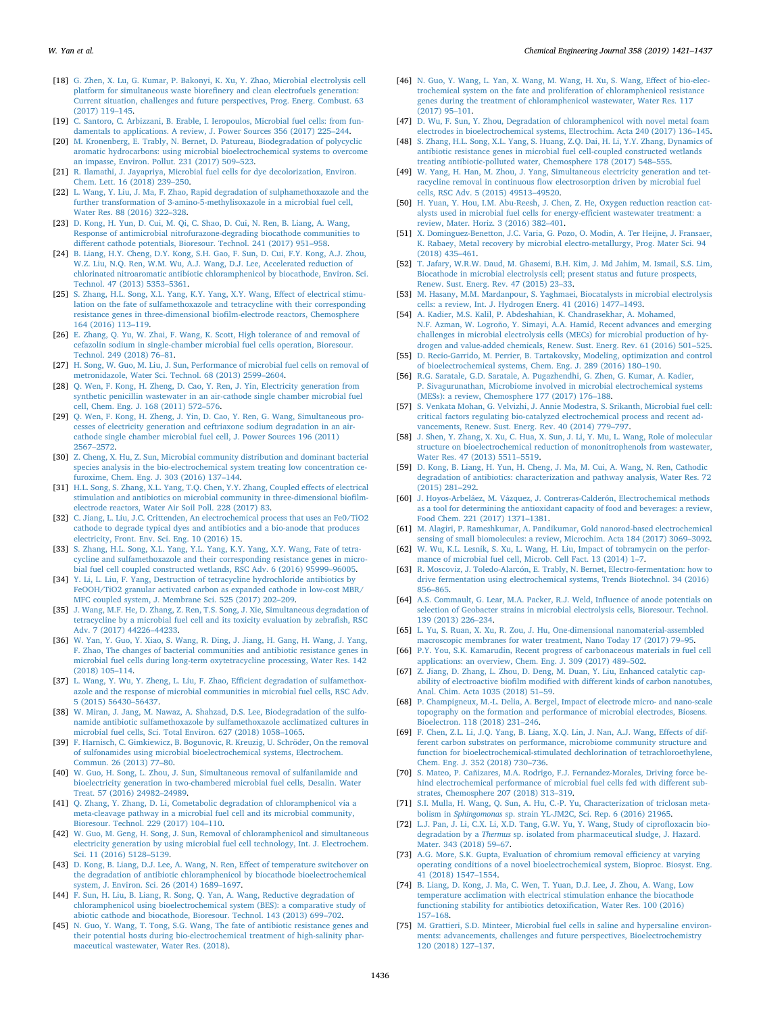- <span id="page-15-0"></span>[18] [G. Zhen, X. Lu, G. Kumar, P. Bakonyi, K. Xu, Y. Zhao, Microbial electrolysis cell](http://refhub.elsevier.com/S1385-8947(18)32082-5/h0090) [platform for simultaneous waste biorefinery and clean electrofuels generation:](http://refhub.elsevier.com/S1385-8947(18)32082-5/h0090) [Current situation, challenges and future perspectives, Prog. Energ. Combust. 63](http://refhub.elsevier.com/S1385-8947(18)32082-5/h0090) [\(2017\) 119–145.](http://refhub.elsevier.com/S1385-8947(18)32082-5/h0090)
- [19] [C. Santoro, C. Arbizzani, B. Erable, I. Ieropoulos, Microbial fuel cells: from fun](http://refhub.elsevier.com/S1385-8947(18)32082-5/h0095)[damentals to applications. A review, J. Power Sources 356 \(2017\) 225–244.](http://refhub.elsevier.com/S1385-8947(18)32082-5/h0095)
- [20] [M. Kronenberg, E. Trably, N. Bernet, D. Patureau, Biodegradation of polycyclic](http://refhub.elsevier.com/S1385-8947(18)32082-5/h0100) [aromatic hydrocarbons: using microbial bioelectrochemical systems to overcome](http://refhub.elsevier.com/S1385-8947(18)32082-5/h0100) [an impasse, Environ. Pollut. 231 \(2017\) 509–523.](http://refhub.elsevier.com/S1385-8947(18)32082-5/h0100)
- [21] [R. Ilamathi, J. Jayapriya, Microbial fuel cells for dye decolorization, Environ.](http://refhub.elsevier.com/S1385-8947(18)32082-5/h0105) [Chem. Lett. 16 \(2018\) 239–250.](http://refhub.elsevier.com/S1385-8947(18)32082-5/h0105)
- <span id="page-15-1"></span>[22] [L. Wang, Y. Liu, J. Ma, F. Zhao, Rapid degradation of sulphamethoxazole and the](http://refhub.elsevier.com/S1385-8947(18)32082-5/h0110) [further transformation of 3-amino-5-methylisoxazole in a microbial fuel cell,](http://refhub.elsevier.com/S1385-8947(18)32082-5/h0110) [Water Res. 88 \(2016\) 322–328.](http://refhub.elsevier.com/S1385-8947(18)32082-5/h0110)
- <span id="page-15-2"></span>[23] [D. Kong, H. Yun, D. Cui, M. Qi, C. Shao, D. Cui, N. Ren, B. Liang, A. Wang,](http://refhub.elsevier.com/S1385-8947(18)32082-5/h0115) [Response of antimicrobial nitrofurazone-degrading biocathode communities to](http://refhub.elsevier.com/S1385-8947(18)32082-5/h0115) [different cathode potentials, Bioresour. Technol. 241 \(2017\) 951–958.](http://refhub.elsevier.com/S1385-8947(18)32082-5/h0115)
- <span id="page-15-25"></span>[24] [B. Liang, H.Y. Cheng, D.Y. Kong, S.H. Gao, F. Sun, D. Cui, F.Y. Kong, A.J. Zhou,](http://refhub.elsevier.com/S1385-8947(18)32082-5/h0120) [W.Z. Liu, N.Q. Ren, W.M. Wu, A.J. Wang, D.J. Lee, Accelerated reduction of](http://refhub.elsevier.com/S1385-8947(18)32082-5/h0120) [chlorinated nitroaromatic antibiotic chloramphenicol by biocathode, Environ. Sci.](http://refhub.elsevier.com/S1385-8947(18)32082-5/h0120) [Technol. 47 \(2013\) 5353–5361.](http://refhub.elsevier.com/S1385-8947(18)32082-5/h0120)
- <span id="page-15-3"></span>[25] [S. Zhang, H.L. Song, X.L. Yang, K.Y. Yang, X.Y. Wang, Effect of electrical stimu](http://refhub.elsevier.com/S1385-8947(18)32082-5/h0125)[lation on the fate of sulfamethoxazole and tetracycline with their corresponding](http://refhub.elsevier.com/S1385-8947(18)32082-5/h0125) [resistance genes in three-dimensional biofilm-electrode reactors, Chemosphere](http://refhub.elsevier.com/S1385-8947(18)32082-5/h0125) [164 \(2016\) 113–119.](http://refhub.elsevier.com/S1385-8947(18)32082-5/h0125)
- <span id="page-15-7"></span>[26] [E. Zhang, Q. Yu, W. Zhai, F. Wang, K. Scott, High tolerance of and removal of](http://refhub.elsevier.com/S1385-8947(18)32082-5/h0130) [cefazolin sodium in single-chamber microbial fuel cells operation, Bioresour.](http://refhub.elsevier.com/S1385-8947(18)32082-5/h0130) [Technol. 249 \(2018\) 76–81.](http://refhub.elsevier.com/S1385-8947(18)32082-5/h0130)
- <span id="page-15-8"></span>[27] [H. Song, W. Guo, M. Liu, J. Sun, Performance of microbial fuel cells on removal of](http://refhub.elsevier.com/S1385-8947(18)32082-5/h0135) [metronidazole, Water Sci. Technol. 68 \(2013\) 2599–2604.](http://refhub.elsevier.com/S1385-8947(18)32082-5/h0135)
- <span id="page-15-9"></span>[28] O. Wen, F. Kong, H. Zheng, D. Cao, Y. Ren, J. Yin, Electricity generation from [synthetic penicillin wastewater in an air-cathode single chamber microbial fuel](http://refhub.elsevier.com/S1385-8947(18)32082-5/h0140) [cell, Chem. Eng. J. 168 \(2011\) 572–576.](http://refhub.elsevier.com/S1385-8947(18)32082-5/h0140)
- <span id="page-15-10"></span>[29] [Q. Wen, F. Kong, H. Zheng, J. Yin, D. Cao, Y. Ren, G. Wang, Simultaneous pro](http://refhub.elsevier.com/S1385-8947(18)32082-5/h0145)[cesses of electricity generation and ceftriaxone sodium degradation in an air](http://refhub.elsevier.com/S1385-8947(18)32082-5/h0145)[cathode single chamber microbial fuel cell, J. Power Sources 196 \(2011\)](http://refhub.elsevier.com/S1385-8947(18)32082-5/h0145) [2567–2572.](http://refhub.elsevier.com/S1385-8947(18)32082-5/h0145)
- <span id="page-15-11"></span>[30] [Z. Cheng, X. Hu, Z. Sun, Microbial community distribution and dominant bacterial](http://refhub.elsevier.com/S1385-8947(18)32082-5/h0150) [species analysis in the bio-electrochemical system treating low concentration ce](http://refhub.elsevier.com/S1385-8947(18)32082-5/h0150)[furoxime, Chem. Eng. J. 303 \(2016\) 137–144.](http://refhub.elsevier.com/S1385-8947(18)32082-5/h0150)
- <span id="page-15-12"></span>[31] [H.L. Song, S. Zhang, X.L. Yang, T.Q. Chen, Y.Y. Zhang, Coupled effects of electrical](http://refhub.elsevier.com/S1385-8947(18)32082-5/h0155) [stimulation and antibiotics on microbial community in three-dimensional biofilm](http://refhub.elsevier.com/S1385-8947(18)32082-5/h0155)[electrode reactors, Water Air Soil Poll. 228 \(2017\) 83.](http://refhub.elsevier.com/S1385-8947(18)32082-5/h0155)
- <span id="page-15-13"></span>[32] [C. Jiang, L. Liu, J.C. Crittenden, An electrochemical process that uses an Fe0/TiO2](http://refhub.elsevier.com/S1385-8947(18)32082-5/h0160) [cathode to degrade typical dyes and antibiotics and a bio-anode that produces](http://refhub.elsevier.com/S1385-8947(18)32082-5/h0160) [electricity, Front. Env. Sci. Eng. 10 \(2016\) 15.](http://refhub.elsevier.com/S1385-8947(18)32082-5/h0160)
- <span id="page-15-14"></span>[33] [S. Zhang, H.L. Song, X.L. Yang, Y.L. Yang, K.Y. Yang, X.Y. Wang, Fate of tetra](http://refhub.elsevier.com/S1385-8947(18)32082-5/h0165)[cycline and sulfamethoxazole and their corresponding resistance genes in micro](http://refhub.elsevier.com/S1385-8947(18)32082-5/h0165)[bial fuel cell coupled constructed wetlands, RSC Adv. 6 \(2016\) 95999–96005.](http://refhub.elsevier.com/S1385-8947(18)32082-5/h0165)
- <span id="page-15-15"></span>[34] [Y. Li, L. Liu, F. Yang, Destruction of tetracycline hydrochloride antibiotics by](http://refhub.elsevier.com/S1385-8947(18)32082-5/h0170) [FeOOH/TiO2 granular activated carbon as expanded cathode in low-cost MBR/](http://refhub.elsevier.com/S1385-8947(18)32082-5/h0170) [MFC coupled system, J. Membrane Sci. 525 \(2017\) 202–209.](http://refhub.elsevier.com/S1385-8947(18)32082-5/h0170)
- <span id="page-15-16"></span>[35] [J. Wang, M.F. He, D. Zhang, Z. Ren, T.S. Song, J. Xie, Simultaneous degradation of](http://refhub.elsevier.com/S1385-8947(18)32082-5/h0175) [tetracycline by a microbial fuel cell and its toxicity evaluation by zebrafish, RSC](http://refhub.elsevier.com/S1385-8947(18)32082-5/h0175) [Adv. 7 \(2017\) 44226–44233.](http://refhub.elsevier.com/S1385-8947(18)32082-5/h0175)
- <span id="page-15-17"></span>[36] [W. Yan, Y. Guo, Y. Xiao, S. Wang, R. Ding, J. Jiang, H. Gang, H. Wang, J. Yang,](http://refhub.elsevier.com/S1385-8947(18)32082-5/h0180) [F. Zhao, The changes of bacterial communities and antibiotic resistance genes in](http://refhub.elsevier.com/S1385-8947(18)32082-5/h0180) [microbial fuel cells during long-term oxytetracycline processing, Water Res. 142](http://refhub.elsevier.com/S1385-8947(18)32082-5/h0180) [\(2018\) 105–114.](http://refhub.elsevier.com/S1385-8947(18)32082-5/h0180)
- <span id="page-15-18"></span>[37] [L. Wang, Y. Wu, Y. Zheng, L. Liu, F. Zhao, Efficient degradation of sulfamethox](http://refhub.elsevier.com/S1385-8947(18)32082-5/h0185)[azole and the response of microbial communities in microbial fuel cells, RSC Adv.](http://refhub.elsevier.com/S1385-8947(18)32082-5/h0185) [5 \(2015\) 56430–56437.](http://refhub.elsevier.com/S1385-8947(18)32082-5/h0185)
- <span id="page-15-19"></span>[38] [W. Miran, J. Jang, M. Nawaz, A. Shahzad, D.S. Lee, Biodegradation of the sulfo](http://refhub.elsevier.com/S1385-8947(18)32082-5/h0190)[namide antibiotic sulfamethoxazole by sulfamethoxazole acclimatized cultures in](http://refhub.elsevier.com/S1385-8947(18)32082-5/h0190) [microbial fuel cells, Sci. Total Environ. 627 \(2018\) 1058–1065.](http://refhub.elsevier.com/S1385-8947(18)32082-5/h0190)
- <span id="page-15-20"></span>[39] [F. Harnisch, C. Gimkiewicz, B. Bogunovic, R. Kreuzig, U. Schröder, On the removal](http://refhub.elsevier.com/S1385-8947(18)32082-5/h0195) [of sulfonamides using microbial bioelectrochemical systems, Electrochem.](http://refhub.elsevier.com/S1385-8947(18)32082-5/h0195) [Commun. 26 \(2013\) 77–80.](http://refhub.elsevier.com/S1385-8947(18)32082-5/h0195)
- <span id="page-15-21"></span>[40] [W. Guo, H. Song, L. Zhou, J. Sun, Simultaneous removal of sulfanilamide and](http://refhub.elsevier.com/S1385-8947(18)32082-5/h0200) [bioelectricity generation in two-chambered microbial fuel cells, Desalin. Water](http://refhub.elsevier.com/S1385-8947(18)32082-5/h0200) [Treat. 57 \(2016\) 24982–24989.](http://refhub.elsevier.com/S1385-8947(18)32082-5/h0200)
- <span id="page-15-22"></span>[41] [Q. Zhang, Y. Zhang, D. Li, Cometabolic degradation of chloramphenicol via a](http://refhub.elsevier.com/S1385-8947(18)32082-5/h0205) [meta-cleavage pathway in a microbial fuel cell and its microbial community,](http://refhub.elsevier.com/S1385-8947(18)32082-5/h0205) [Bioresour. Technol. 229 \(2017\) 104–110.](http://refhub.elsevier.com/S1385-8947(18)32082-5/h0205)
- <span id="page-15-23"></span>[42] [W. Guo, M. Geng, H. Song, J. Sun, Removal of chloramphenicol and simultaneous](http://refhub.elsevier.com/S1385-8947(18)32082-5/h0210) [electricity generation by using microbial fuel cell technology, Int. J. Electrochem.](http://refhub.elsevier.com/S1385-8947(18)32082-5/h0210) [Sci. 11 \(2016\) 5128–5139.](http://refhub.elsevier.com/S1385-8947(18)32082-5/h0210)
- <span id="page-15-24"></span>[43] [D. Kong, B. Liang, D.J. Lee, A. Wang, N. Ren, Effect of temperature switchover on](http://refhub.elsevier.com/S1385-8947(18)32082-5/h0215) [the degradation of antibiotic chloramphenicol by biocathode bioelectrochemical](http://refhub.elsevier.com/S1385-8947(18)32082-5/h0215) [system, J. Environ. Sci. 26 \(2014\) 1689–1697.](http://refhub.elsevier.com/S1385-8947(18)32082-5/h0215)
- <span id="page-15-26"></span>[44] [F. Sun, H. Liu, B. Liang, R. Song, Q. Yan, A. Wang, Reductive degradation of](http://refhub.elsevier.com/S1385-8947(18)32082-5/h0220) [chloramphenicol using bioelectrochemical system \(BES\): a comparative study of](http://refhub.elsevier.com/S1385-8947(18)32082-5/h0220) [abiotic cathode and biocathode, Bioresour. Technol. 143 \(2013\) 699–702.](http://refhub.elsevier.com/S1385-8947(18)32082-5/h0220)
- <span id="page-15-27"></span>[45] [N. Guo, Y. Wang, T. Tong, S.G. Wang, The fate of antibiotic resistance genes and](http://refhub.elsevier.com/S1385-8947(18)32082-5/h0225) [their potential hosts during bio-electrochemical treatment of high-salinity phar](http://refhub.elsevier.com/S1385-8947(18)32082-5/h0225)[maceutical wastewater, Water Res. \(2018\).](http://refhub.elsevier.com/S1385-8947(18)32082-5/h0225)
- <span id="page-15-28"></span>[46] [N. Guo, Y. Wang, L. Yan, X. Wang, M. Wang, H. Xu, S. Wang, Effect of bio-elec](http://refhub.elsevier.com/S1385-8947(18)32082-5/h0230)[trochemical system on the fate and proliferation of chloramphenicol resistance](http://refhub.elsevier.com/S1385-8947(18)32082-5/h0230) [genes during the treatment of chloramphenicol wastewater, Water Res. 117](http://refhub.elsevier.com/S1385-8947(18)32082-5/h0230) [\(2017\) 95–101.](http://refhub.elsevier.com/S1385-8947(18)32082-5/h0230)
- <span id="page-15-29"></span>[47] [D. Wu, F. Sun, Y. Zhou, Degradation of chloramphenicol with novel metal foam](http://refhub.elsevier.com/S1385-8947(18)32082-5/h0235) [electrodes in bioelectrochemical systems, Electrochim. Acta 240 \(2017\) 136–145.](http://refhub.elsevier.com/S1385-8947(18)32082-5/h0235)
- <span id="page-15-30"></span>[48] [S. Zhang, H.L. Song, X.L. Yang, S. Huang, Z.Q. Dai, H. Li, Y.Y. Zhang, Dynamics of](http://refhub.elsevier.com/S1385-8947(18)32082-5/h0240) [antibiotic resistance genes in microbial fuel cell-coupled constructed wetlands](http://refhub.elsevier.com/S1385-8947(18)32082-5/h0240) [treating antibiotic-polluted water, Chemosphere 178 \(2017\) 548–555.](http://refhub.elsevier.com/S1385-8947(18)32082-5/h0240)
- <span id="page-15-31"></span>[49] [W. Yang, H. Han, M. Zhou, J. Yang, Simultaneous electricity generation and tet](http://refhub.elsevier.com/S1385-8947(18)32082-5/h0245)[racycline removal in continuous flow electrosorption driven by microbial fuel](http://refhub.elsevier.com/S1385-8947(18)32082-5/h0245) [cells, RSC Adv. 5 \(2015\) 49513–49520.](http://refhub.elsevier.com/S1385-8947(18)32082-5/h0245)
- <span id="page-15-4"></span>[50] [H. Yuan, Y. Hou, I.M. Abu-Reesh, J. Chen, Z. He, Oxygen reduction reaction cat](http://refhub.elsevier.com/S1385-8947(18)32082-5/h0250)[alysts used in microbial fuel cells for energy-efficient wastewater treatment: a](http://refhub.elsevier.com/S1385-8947(18)32082-5/h0250) [review, Mater. Horiz. 3 \(2016\) 382–401.](http://refhub.elsevier.com/S1385-8947(18)32082-5/h0250)
- <span id="page-15-5"></span>[51] [X. Dominguez-Benetton, J.C. Varia, G. Pozo, O. Modin, A. Ter Heijne, J. Fransaer,](http://refhub.elsevier.com/S1385-8947(18)32082-5/h0255) [K. Rabaey, Metal recovery by microbial electro-metallurgy, Prog. Mater Sci. 94](http://refhub.elsevier.com/S1385-8947(18)32082-5/h0255) [\(2018\) 435–461.](http://refhub.elsevier.com/S1385-8947(18)32082-5/h0255)
- <span id="page-15-6"></span>[52] [T. Jafary, W.R.W. Daud, M. Ghasemi, B.H. Kim, J. Md Jahim, M. Ismail, S.S. Lim,](http://refhub.elsevier.com/S1385-8947(18)32082-5/h0260) [Biocathode in microbial electrolysis cell; present status and future prospects,](http://refhub.elsevier.com/S1385-8947(18)32082-5/h0260) [Renew. Sust. Energ. Rev. 47 \(2015\) 23–33.](http://refhub.elsevier.com/S1385-8947(18)32082-5/h0260)
- [53] [M. Hasany, M.M. Mardanpour, S. Yaghmaei, Biocatalysts in microbial electrolysis](http://refhub.elsevier.com/S1385-8947(18)32082-5/h0265) [cells: a review, Int. J. Hydrogen Energ. 41 \(2016\) 1477–1493.](http://refhub.elsevier.com/S1385-8947(18)32082-5/h0265)
- [54] [A. Kadier, M.S. Kalil, P. Abdeshahian, K. Chandrasekhar, A. Mohamed,](http://refhub.elsevier.com/S1385-8947(18)32082-5/h0270) [N.F. Azman, W. Logroño, Y. Simayi, A.A. Hamid, Recent advances and emerging](http://refhub.elsevier.com/S1385-8947(18)32082-5/h0270) [challenges in microbial electrolysis cells \(MECs\) for microbial production of hy](http://refhub.elsevier.com/S1385-8947(18)32082-5/h0270)[drogen and value-added chemicals, Renew. Sust. Energ. Rev. 61 \(2016\) 501–525.](http://refhub.elsevier.com/S1385-8947(18)32082-5/h0270) [55] [D. Recio-Garrido, M. Perrier, B. Tartakovsky, Modeling, optimization and control](http://refhub.elsevier.com/S1385-8947(18)32082-5/h0275)
- [of bioelectrochemical systems, Chem. Eng. J. 289 \(2016\) 180–190.](http://refhub.elsevier.com/S1385-8947(18)32082-5/h0275) [56] [R.G. Saratale, G.D. Saratale, A. Pugazhendhi, G. Zhen, G. Kumar, A. Kadier,](http://refhub.elsevier.com/S1385-8947(18)32082-5/h0280)
- <span id="page-15-32"></span>[P. Sivagurunathan, Microbiome involved in microbial electrochemical systems](http://refhub.elsevier.com/S1385-8947(18)32082-5/h0280) [\(MESs\): a review, Chemosphere 177 \(2017\) 176–188.](http://refhub.elsevier.com/S1385-8947(18)32082-5/h0280)
- <span id="page-15-43"></span>[57] [S. Venkata Mohan, G. Velvizhi, J. Annie Modestra, S. Srikanth, Microbial fuel cell:](http://refhub.elsevier.com/S1385-8947(18)32082-5/h0285) [critical factors regulating bio-catalyzed electrochemical process and recent ad](http://refhub.elsevier.com/S1385-8947(18)32082-5/h0285)[vancements, Renew. Sust. Energ. Rev. 40 \(2014\) 779–797.](http://refhub.elsevier.com/S1385-8947(18)32082-5/h0285)
- <span id="page-15-33"></span>[58] [J. Shen, Y. Zhang, X. Xu, C. Hua, X. Sun, J. Li, Y. Mu, L. Wang, Role of molecular](http://refhub.elsevier.com/S1385-8947(18)32082-5/h0290) [structure on bioelectrochemical reduction of mononitrophenols from wastewater,](http://refhub.elsevier.com/S1385-8947(18)32082-5/h0290) [Water Res. 47 \(2013\) 5511–5519.](http://refhub.elsevier.com/S1385-8947(18)32082-5/h0290)
- <span id="page-15-35"></span>[59] [D. Kong, B. Liang, H. Yun, H. Cheng, J. Ma, M. Cui, A. Wang, N. Ren, Cathodic](http://refhub.elsevier.com/S1385-8947(18)32082-5/h0295) [degradation of antibiotics: characterization and pathway analysis, Water Res. 72](http://refhub.elsevier.com/S1385-8947(18)32082-5/h0295) [\(2015\) 281–292.](http://refhub.elsevier.com/S1385-8947(18)32082-5/h0295)
- <span id="page-15-34"></span>[60] [J. Hoyos-Arbeláez, M. Vázquez, J. Contreras-Calderón, Electrochemical methods](http://refhub.elsevier.com/S1385-8947(18)32082-5/h0300) [as a tool for determining the antioxidant capacity of food and beverages: a review,](http://refhub.elsevier.com/S1385-8947(18)32082-5/h0300) [Food Chem. 221 \(2017\) 1371–1381.](http://refhub.elsevier.com/S1385-8947(18)32082-5/h0300)
- [61] [M. Alagiri, P. Rameshkumar, A. Pandikumar, Gold nanorod-based electrochemical](http://refhub.elsevier.com/S1385-8947(18)32082-5/h0305) ensing of small biomolecules: a review, Microchim. Acta 184 (2017) 3069-3092.
- <span id="page-15-36"></span>[62] [W. Wu, K.L. Lesnik, S. Xu, L. Wang, H. Liu, Impact of tobramycin on the perfor](http://refhub.elsevier.com/S1385-8947(18)32082-5/h0310)[mance of microbial fuel cell, Microb. Cell Fact. 13 \(2014\) 1–7.](http://refhub.elsevier.com/S1385-8947(18)32082-5/h0310)
- <span id="page-15-37"></span>[63] [R. Moscoviz, J. Toledo-Alarcón, E. Trably, N. Bernet, Electro-fermentation: how to](http://refhub.elsevier.com/S1385-8947(18)32082-5/h0315) [drive fermentation using electrochemical systems, Trends Biotechnol. 34 \(2016\)](http://refhub.elsevier.com/S1385-8947(18)32082-5/h0315) [856–865.](http://refhub.elsevier.com/S1385-8947(18)32082-5/h0315)
- [64] [A.S. Commault, G. Lear, M.A. Packer, R.J. Weld, Influence of anode potentials on](http://refhub.elsevier.com/S1385-8947(18)32082-5/h0320) [selection of Geobacter strains in microbial electrolysis cells, Bioresour. Technol.](http://refhub.elsevier.com/S1385-8947(18)32082-5/h0320) [139 \(2013\) 226–234.](http://refhub.elsevier.com/S1385-8947(18)32082-5/h0320)
- <span id="page-15-38"></span>[65] [L. Yu, S. Ruan, X. Xu, R. Zou, J. Hu, One-dimensional nanomaterial-assembled](http://refhub.elsevier.com/S1385-8947(18)32082-5/h0325) [macroscopic membranes for water treatment, Nano Today 17 \(2017\) 79–95.](http://refhub.elsevier.com/S1385-8947(18)32082-5/h0325)
- [66] [P.Y. You, S.K. Kamarudin, Recent progress of carbonaceous materials in fuel cell](http://refhub.elsevier.com/S1385-8947(18)32082-5/h0330) [applications: an overview, Chem. Eng. J. 309 \(2017\) 489–502.](http://refhub.elsevier.com/S1385-8947(18)32082-5/h0330)
- [67] [Z. Jiang, D. Zhang, L. Zhou, D. Deng, M. Duan, Y. Liu, Enhanced catalytic cap](http://refhub.elsevier.com/S1385-8947(18)32082-5/h0335)[ability of electroactive biofilm modified with different kinds of carbon nanotubes,](http://refhub.elsevier.com/S1385-8947(18)32082-5/h0335) [Anal. Chim. Acta 1035 \(2018\) 51–59.](http://refhub.elsevier.com/S1385-8947(18)32082-5/h0335)
- [68] [P. Champigneux, M.-L. Delia, A. Bergel, Impact of electrode micro- and nano-scale](http://refhub.elsevier.com/S1385-8947(18)32082-5/h0340) [topography on the formation and performance of microbial electrodes, Biosens.](http://refhub.elsevier.com/S1385-8947(18)32082-5/h0340) [Bioelectron. 118 \(2018\) 231–246.](http://refhub.elsevier.com/S1385-8947(18)32082-5/h0340)
- <span id="page-15-39"></span>[69] [F. Chen, Z.L. Li, J.Q. Yang, B. Liang, X.Q. Lin, J. Nan, A.J. Wang, Effects of dif](http://refhub.elsevier.com/S1385-8947(18)32082-5/h0345)[ferent carbon substrates on performance, microbiome community structure and](http://refhub.elsevier.com/S1385-8947(18)32082-5/h0345) [function for bioelectrochemical-stimulated dechlorination of tetrachloroethylene,](http://refhub.elsevier.com/S1385-8947(18)32082-5/h0345) [Chem. Eng. J. 352 \(2018\) 730–736.](http://refhub.elsevier.com/S1385-8947(18)32082-5/h0345)
- [70] [S. Mateo, P. Cañizares, M.A. Rodrigo, F.J. Fernandez-Morales, Driving force be](http://refhub.elsevier.com/S1385-8947(18)32082-5/h0350)[hind electrochemical performance of microbial fuel cells fed with different sub](http://refhub.elsevier.com/S1385-8947(18)32082-5/h0350)[strates, Chemosphere 207 \(2018\) 313–319.](http://refhub.elsevier.com/S1385-8947(18)32082-5/h0350)
- <span id="page-15-40"></span>[71] [S.I. Mulla, H. Wang, Q. Sun, A. Hu, C.-P. Yu, Characterization of triclosan meta](http://refhub.elsevier.com/S1385-8947(18)32082-5/h0355)bolism in *Sphingomonas* [sp. strain YL-JM2C, Sci. Rep. 6 \(2016\) 21965.](http://refhub.elsevier.com/S1385-8947(18)32082-5/h0355)
- [72] [L.J. Pan, J. Li, C.X. Li, X.D. Tang, G.W. Yu, Y. Wang, Study of ciprofloxacin bio](http://refhub.elsevier.com/S1385-8947(18)32082-5/h0360)degradation by a *Thermus* [sp. isolated from pharmaceutical sludge, J. Hazard.](http://refhub.elsevier.com/S1385-8947(18)32082-5/h0360) [Mater. 343 \(2018\) 59–67.](http://refhub.elsevier.com/S1385-8947(18)32082-5/h0360)
- [73] [A.G. More, S.K. Gupta, Evaluation of chromium removal efficiency at varying](http://refhub.elsevier.com/S1385-8947(18)32082-5/h0365) [operating conditions of a novel bioelectrochemical system, Bioproc. Biosyst. Eng.](http://refhub.elsevier.com/S1385-8947(18)32082-5/h0365) [41 \(2018\) 1547–1554.](http://refhub.elsevier.com/S1385-8947(18)32082-5/h0365)
- <span id="page-15-42"></span>[74] [B. Liang, D. Kong, J. Ma, C. Wen, T. Yuan, D.J. Lee, J. Zhou, A. Wang, Low](http://refhub.elsevier.com/S1385-8947(18)32082-5/h0370) [temperature acclimation with electrical stimulation enhance the biocathode](http://refhub.elsevier.com/S1385-8947(18)32082-5/h0370) [functioning stability for antibiotics detoxification, Water Res. 100 \(2016\)](http://refhub.elsevier.com/S1385-8947(18)32082-5/h0370) [157–168.](http://refhub.elsevier.com/S1385-8947(18)32082-5/h0370)
- <span id="page-15-41"></span>[75] [M. Grattieri, S.D. Minteer, Microbial fuel cells in saline and hypersaline environ](http://refhub.elsevier.com/S1385-8947(18)32082-5/h0375)[ments: advancements, challenges and future perspectives, Bioelectrochemistry](http://refhub.elsevier.com/S1385-8947(18)32082-5/h0375) [120 \(2018\) 127–137.](http://refhub.elsevier.com/S1385-8947(18)32082-5/h0375)